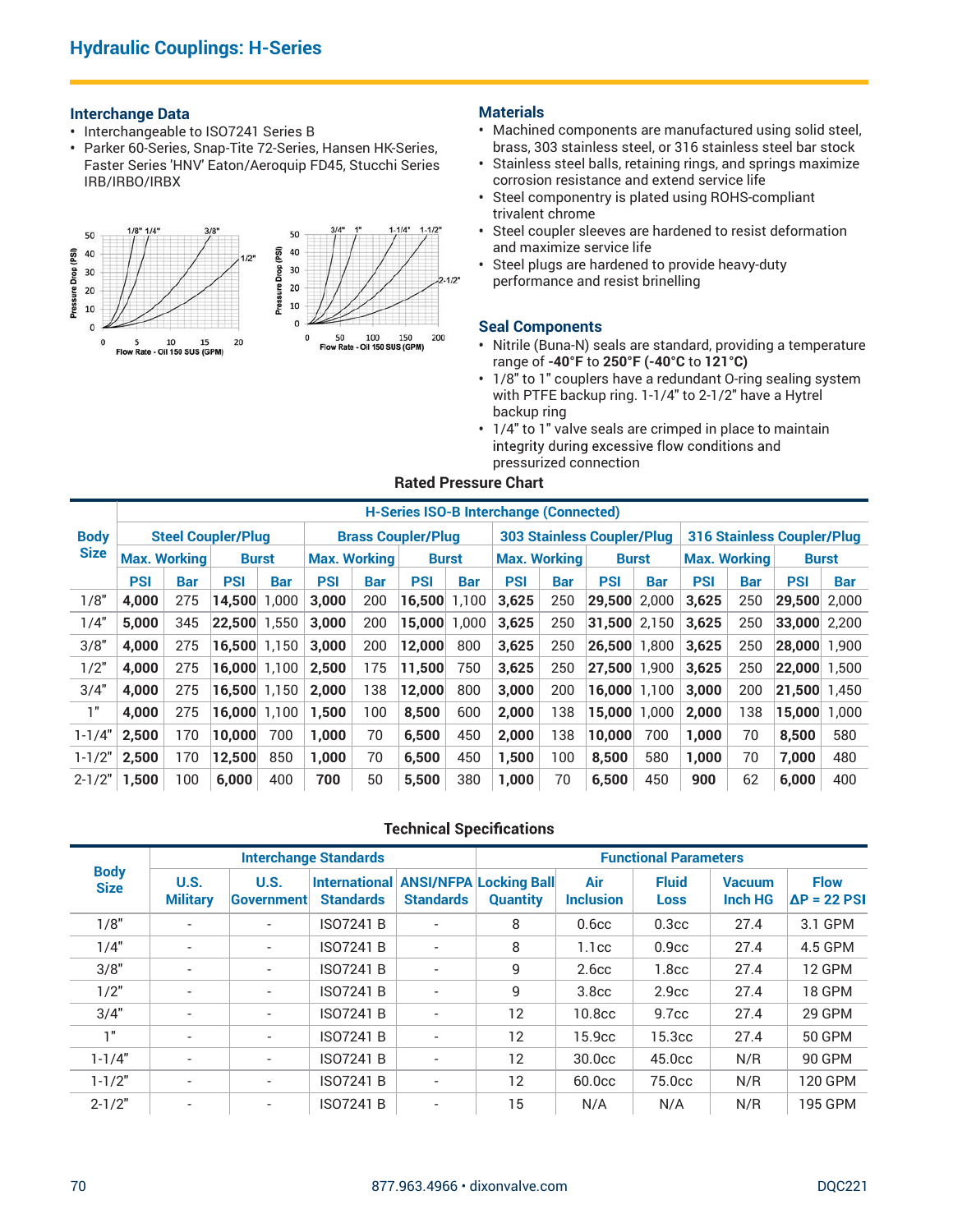### Interchange Data

- Interchangeable to ISO7241 Series B
- Parker 60-Series, Snap-Tite 72-Series, Hansen HK-Series, Faster Series 'HNV' Eaton/Aeroquip FD45, Stucchi Series IRB/IRBO/IRBX



## **Materials**

- Machined components are manufactured using solid steel, brass, 303 stainless steel, or 316 stainless steel bar stock
- Stainless steel balls, retaining rings, and springs maximize corrosion resistance and extend service life
- Steel componentry is plated using ROHS-compliant trivalent chrome
- Steel coupler sleeves are hardened to resist deformation and maximize service life
- Steel plugs are hardened to provide heavy-duty performance and resist brinelling

#### Seal Components

- Nitrile (Buna-N) seals are standard, providing a temperature range of -40°F to 250°F (-40°C to 121°C)
- 1/8" to 1" couplers have a redundant O-ring sealing system with PTFE backup ring. 1-1/4" to 2-1/2" have a Hytrel backup ring
- 1/4" to 1" valve seals are crimped in place to maintain pressurized connection

### Rated Pressure Chart

| 30<br>20<br>10 | IRB/IRBO/IRBX                                                        | Parker 60-Series, Snap-Tite 72-Series, Hansen HK-Series,<br>Faster Series 'HNV' Eaton/Aeroquip FD45, Stucchi Series<br>10<br>15<br>Flow Rate - Oil 150 SUS (GPM) | 1/2"<br>20 | (PSI)<br>40<br>Drop<br>30<br>20<br>10 | 50             | 100<br>Flow Rate - Oil 150 SUS (GPM) | $1 - 1/4"$<br>$1 - 1/2"$<br>200<br>150                          | $2 - 1/2$    | trivalent chrome<br><b>Seal Components</b><br>backup ring |            | brass, 303 stainless steel, or 316 stainless steel bar stock<br>• Stainless steel balls, retaining rings, and springs maximize<br>corrosion resistance and extend service life<br>• Steel componentry is plated using ROHS-compliant<br>• Steel coupler sleeves are hardened to resist deformation<br>and maximize service life<br>Steel plugs are hardened to provide heavy-duty<br>performance and resist brinelling<br>• Nitrile (Buna-N) seals are standard, providing a temperature<br>range of -40°F to 250°F (-40°C to 121°C)<br>• 1/8" to 1" couplers have a redundant O-ring sealing system<br>with PTFE backup ring. 1-1/4" to 2-1/2" have a Hytrel<br>• 1/4" to 1" valve seals are crimped in place to maintain<br>integrity during excessive flow conditions and<br>pressurized connection |                              |                |                                   |            |                                    |            |
|----------------|----------------------------------------------------------------------|------------------------------------------------------------------------------------------------------------------------------------------------------------------|------------|---------------------------------------|----------------|--------------------------------------|-----------------------------------------------------------------|--------------|-----------------------------------------------------------|------------|--------------------------------------------------------------------------------------------------------------------------------------------------------------------------------------------------------------------------------------------------------------------------------------------------------------------------------------------------------------------------------------------------------------------------------------------------------------------------------------------------------------------------------------------------------------------------------------------------------------------------------------------------------------------------------------------------------------------------------------------------------------------------------------------------------|------------------------------|----------------|-----------------------------------|------------|------------------------------------|------------|
|                |                                                                      |                                                                                                                                                                  |            |                                       |                |                                      | <b>Rated Pressure Chart</b>                                     |              |                                                           |            |                                                                                                                                                                                                                                                                                                                                                                                                                                                                                                                                                                                                                                                                                                                                                                                                        |                              |                |                                   |            |                                    |            |
|                |                                                                      |                                                                                                                                                                  |            |                                       |                |                                      | <b>H-Series ISO-B Interchange (Connected)</b>                   |              |                                                           |            |                                                                                                                                                                                                                                                                                                                                                                                                                                                                                                                                                                                                                                                                                                                                                                                                        |                              |                |                                   |            |                                    |            |
| <b>Body</b>    |                                                                      | <b>Steel Coupler/Plug</b>                                                                                                                                        |            |                                       |                |                                      | <b>Brass Coupler/Plug</b>                                       |              |                                                           |            | <b>303 Stainless Coupler/Plug</b>                                                                                                                                                                                                                                                                                                                                                                                                                                                                                                                                                                                                                                                                                                                                                                      |                              |                | <b>316 Stainless Coupler/Plug</b> |            |                                    |            |
| <b>Size</b>    | <b>Max. Working</b><br><b>Max. Working</b><br><b>Burst</b>           |                                                                                                                                                                  |            |                                       |                |                                      |                                                                 | <b>Burst</b> | <b>Max. Working</b>                                       |            |                                                                                                                                                                                                                                                                                                                                                                                                                                                                                                                                                                                                                                                                                                                                                                                                        | <b>Burst</b>                 |                | <b>Max. Working</b>               |            | <b>Burst</b>                       |            |
|                | <b>PSI</b><br><b>PSI</b><br><b>Bar</b><br><b>Bar</b><br>4,000<br>275 |                                                                                                                                                                  |            |                                       | <b>PSI</b>     | <b>Bar</b>                           | <b>PSI</b>                                                      | <b>Bar</b>   | <b>PSI</b>                                                | <b>Bar</b> | <b>PSI</b>                                                                                                                                                                                                                                                                                                                                                                                                                                                                                                                                                                                                                                                                                                                                                                                             | <b>Bar</b>                   | <b>PSI</b>     | <b>Bar</b>                        | <b>PSI</b> |                                    | <b>Bar</b> |
| 1/8"           |                                                                      | 345                                                                                                                                                              |            |                                       | 3,000          | 200                                  | 16,500                                                          | 1,100        | 3,625                                                     | 250        | 29,500 2,000                                                                                                                                                                                                                                                                                                                                                                                                                                                                                                                                                                                                                                                                                                                                                                                           |                              | 3,625          | 250                               |            | $ 29,500 $ 2,000                   |            |
| 1/4"           |                                                                      | $14,500$ 1,000<br>5,000<br>$ 22,500 $ 1,550                                                                                                                      |            |                                       | 3,000          | 200                                  | 15,000                                                          | 1,000        | 3,625                                                     | 250        | $ 31,500 $ 2,150 $ 3,625$                                                                                                                                                                                                                                                                                                                                                                                                                                                                                                                                                                                                                                                                                                                                                                              |                              |                | 250                               |            | $ 33,000 $ 2,200                   |            |
| 3/8"           | 4,000                                                                | 275                                                                                                                                                              |            | $16,500$ 1,150 3,000                  |                | 200                                  | 12,000                                                          | 800          | 3,625                                                     | 250        | $ 26,500 $ 1,800 3,625                                                                                                                                                                                                                                                                                                                                                                                                                                                                                                                                                                                                                                                                                                                                                                                 |                              |                | 250                               |            | $ 28,000 $ 1,900                   |            |
| 1/2"           | 4,000                                                                | 275                                                                                                                                                              |            | $ 16,000 $ 1,100 $ 2,500$             |                | 175                                  | 11,500                                                          | 750          | 3,625                                                     | 250        | $ 27,500 $ 1,900 3,625                                                                                                                                                                                                                                                                                                                                                                                                                                                                                                                                                                                                                                                                                                                                                                                 |                              |                | 250                               |            | $ 22,000 $ 1,500                   |            |
| 3/4"<br>1"     | 4,000                                                                | 275                                                                                                                                                              |            | $16,500$ 1,150                        | 2,000          | 138                                  | 12,000                                                          | 800          | 3,000                                                     | 200        |                                                                                                                                                                                                                                                                                                                                                                                                                                                                                                                                                                                                                                                                                                                                                                                                        | $ 16,000 $ 1,100 $ 3,000$    |                | 200                               |            | $ 21,500 $ 1,450                   |            |
| $1 - 1/4'$     | 4,000<br>2,500                                                       | 275<br>170                                                                                                                                                       | 10,000     | $16,000$ 1,100<br>700                 | 1,500<br>1,000 | 100<br>70                            | 8,500<br>6,500                                                  | 600<br>450   | 2,000<br>2,000                                            | 138<br>138 | 10,000                                                                                                                                                                                                                                                                                                                                                                                                                                                                                                                                                                                                                                                                                                                                                                                                 | $15,000$ 1,000<br>700        | 2,000<br>1,000 | 138<br>70                         | 8,500      | $15,000$ 1,000                     | 580        |
| $1 - 1/2"$     | 2,500                                                                | 170                                                                                                                                                              | 12,500     | 850                                   | 1,000          | 70                                   | 6,500                                                           | 450          | 1,500                                                     | 100        | 8,500                                                                                                                                                                                                                                                                                                                                                                                                                                                                                                                                                                                                                                                                                                                                                                                                  | 580                          | 1,000          | 70                                | 7,000      |                                    | 480        |
| $2 - 1/2"$     | 1,500                                                                | 100                                                                                                                                                              | 6,000      | 400                                   | 700            | 50                                   | 5,500                                                           | 380          | 1,000                                                     | 70         | 6,500                                                                                                                                                                                                                                                                                                                                                                                                                                                                                                                                                                                                                                                                                                                                                                                                  | 450                          | 900            | 62                                | 6,000      |                                    | 400        |
|                |                                                                      |                                                                                                                                                                  |            |                                       |                |                                      | <b>Technical Specifications</b>                                 |              |                                                           |            |                                                                                                                                                                                                                                                                                                                                                                                                                                                                                                                                                                                                                                                                                                                                                                                                        |                              |                |                                   |            |                                    |            |
|                | <b>Body</b>                                                          |                                                                                                                                                                  |            | <b>Interchange Standards</b>          |                |                                      |                                                                 |              |                                                           |            |                                                                                                                                                                                                                                                                                                                                                                                                                                                                                                                                                                                                                                                                                                                                                                                                        | <b>Functional Parameters</b> |                |                                   |            |                                    |            |
|                | <b>Size</b>                                                          | <b>U.S.</b><br><b>Military</b>                                                                                                                                   |            | U.S.<br>Government                    |                | <b>Standards</b>                     | <b>International ANSI/NFPA Locking Ball</b><br><b>Standards</b> |              | <b>Quantity</b>                                           |            | Air<br><b>Inclusion</b>                                                                                                                                                                                                                                                                                                                                                                                                                                                                                                                                                                                                                                                                                                                                                                                | <b>Fluid</b><br><b>Loss</b>  |                | <b>Vacuum</b><br><b>Inch HG</b>   |            | <b>Flow</b><br>$\Delta P = 22$ PSI |            |
|                | 1/8"                                                                 | $\overline{\phantom{a}}$                                                                                                                                         |            | $\overline{\phantom{a}}$              |                | <b>ISO7241 B</b>                     | $\overline{\phantom{a}}$                                        |              | 8                                                         |            | 0.6 <sub>cc</sub>                                                                                                                                                                                                                                                                                                                                                                                                                                                                                                                                                                                                                                                                                                                                                                                      | 0.3 <sub>cc</sub>            |                | 27.4                              |            | 3.1 GPM                            |            |
| 1/4"           |                                                                      | $\overline{\phantom{a}}$                                                                                                                                         |            | $\overline{\phantom{a}}$              |                | <b>ISO7241 B</b>                     | $\overline{\phantom{a}}$                                        |              | 8                                                         |            | 1.1cc                                                                                                                                                                                                                                                                                                                                                                                                                                                                                                                                                                                                                                                                                                                                                                                                  | 0.9 <sub>cc</sub>            |                | 27.4                              |            | 4.5 GPM                            |            |
|                | 3/8"                                                                 | $\overline{\phantom{a}}$                                                                                                                                         |            | $\overline{\phantom{a}}$              |                | <b>ISO7241 B</b>                     | $\overline{a}$                                                  |              | 9                                                         |            | 2.6 <sub>cc</sub>                                                                                                                                                                                                                                                                                                                                                                                                                                                                                                                                                                                                                                                                                                                                                                                      | 1.8 <sub>cc</sub>            |                | 27.4                              |            | 12 GPM                             |            |
|                | 1/2"                                                                 | $\overline{\phantom{a}}$                                                                                                                                         |            | $\overline{\phantom{a}}$              |                | <b>ISO7241 B</b>                     | $\overline{a}$                                                  |              | 9                                                         |            | 3.8cc                                                                                                                                                                                                                                                                                                                                                                                                                                                                                                                                                                                                                                                                                                                                                                                                  | 2.9 <sub>cc</sub>            |                | 27.4                              |            | 18 GPM                             |            |
|                | 3/4"                                                                 | $\overline{\phantom{a}}$                                                                                                                                         |            | $\overline{\phantom{a}}$              |                | <b>ISO7241 B</b>                     | $\overline{\phantom{a}}$                                        |              | 12                                                        |            | 10.8cc                                                                                                                                                                                                                                                                                                                                                                                                                                                                                                                                                                                                                                                                                                                                                                                                 | 9.7cc                        |                | 27.4                              |            | 29 GPM                             |            |
|                | 1"                                                                   | $\overline{\phantom{a}}$                                                                                                                                         |            | $\overline{\phantom{a}}$              |                | <b>ISO7241 B</b>                     | $\overline{\phantom{a}}$                                        |              | 12                                                        |            | 15.9cc                                                                                                                                                                                                                                                                                                                                                                                                                                                                                                                                                                                                                                                                                                                                                                                                 | 15.3cc                       |                | 27.4                              |            | <b>50 GPM</b>                      |            |
|                |                                                                      |                                                                                                                                                                  |            |                                       |                |                                      |                                                                 |              |                                                           |            |                                                                                                                                                                                                                                                                                                                                                                                                                                                                                                                                                                                                                                                                                                                                                                                                        |                              |                |                                   |            |                                    |            |

|                            | <b>PSI</b> | <b>Bar</b>               | <b>PSI</b>                | <b>Bar</b>                   | <b>PSI</b>                               | <b>Bar</b> | <b>PSI</b>               | <b>Bar</b> | <b>PSI</b>                                       | <b>Bar</b> | <b>PSI</b>              | <b>Bar</b>                   | <b>PSI</b> | <b>Bar</b>                      | <b>PSI</b>       | <b>Bar</b>                         |
|----------------------------|------------|--------------------------|---------------------------|------------------------------|------------------------------------------|------------|--------------------------|------------|--------------------------------------------------|------------|-------------------------|------------------------------|------------|---------------------------------|------------------|------------------------------------|
| 1/8"                       | 4,000      | 275                      | 14,500 1,000              |                              | 3,000                                    | 200        | 16,500                   | 1,100      | 3,625                                            | 250        | 29,500 2,000            |                              | 3,625      | 250                             | $ 29,500 $ 2,000 |                                    |
| 1/4"                       | 5,000      | 345                      | $ 22,500 $ 1,550 3,000    |                              |                                          | 200        | $15,000$ 1,000           |            | 3,625                                            | 250        | 31,500 2,150            |                              | 3,625      | 250                             | $ 33,000 $ 2,200 |                                    |
| 3/8"                       | 4,000      | 275                      | $16,500$ 1,150            |                              | 3,000                                    | 200        | 12,000                   | 800        | 3,625                                            | 250        | $ 26,500 $ 1,800        |                              | 3,625      | 250                             | $ 28,000 $ 1,900 |                                    |
| 1/2"                       | 4,000      | 275                      | $16,000$ 1,100            |                              | 2,500                                    | 175        | 11,500                   | 750        | 3,625                                            | 250        | $ 27,500 $ 1,900        |                              | 3,625      | 250                             | $ 22,000 $ 1,500 |                                    |
| 3/4"                       | 4,000      | 275                      | $ 16,500 $ 1,150 $ 2,000$ |                              |                                          | 138        | 12,000                   | 800        | 3,000                                            | 200        | $16,000$ 1,100          |                              | 3,000      | 200                             | $ 21,500 $ 1,450 |                                    |
| 1"                         | 4,000      | 275                      | $16,000$ 1,100            |                              | 1,500                                    | 100        | 8,500                    | 600        | 2,000                                            | 138        | 15,000 1,000            |                              | 2,000      | 138                             | $15,000$ 1,000   |                                    |
| $1 - 1/4"$                 | 2,500      | 170                      | 10,000                    | 700                          | 1,000                                    | 70         | 6,500                    | 450        | 2,000                                            | 138        | $ 10,000 $ 700          |                              | 1,000      | 70                              | 8,500            | 580                                |
| $1 - 1/2"$                 | 2,500      | 170                      | 12,500                    | 850                          | 1,000                                    | 70         | 6,500                    | 450        | 1,500                                            | 100        | 8,500                   | 580                          | 1,000      | 70                              | 7,000            | 480                                |
| $2 - 1/2"$                 | 1,500      | 100                      | 6,000                     | 400                          | 700                                      | 50         | 5,500                    | 380        | 1,000                                            | 70         | 6,500                   | 450                          | 900        | 62                              | 6,000            | 400                                |
|                            |            |                          |                           |                              |                                          |            |                          |            | <b>Technical Specifications</b>                  |            |                         |                              |            |                                 |                  |                                    |
|                            |            |                          |                           | <b>Interchange Standards</b> |                                          |            |                          |            |                                                  |            |                         | <b>Functional Parameters</b> |            |                                 |                  |                                    |
| <b>Body</b><br><b>Size</b> |            | U.S.<br><b>Military</b>  |                           | U.S.<br>Government           | <b>International</b><br><b>Standards</b> |            | <b>Standards</b>         |            | <b>ANSI/NFPA Locking Ball</b><br><b>Quantity</b> |            | Air<br><b>Inclusion</b> | <b>Fluid</b><br><b>Loss</b>  |            | <b>Vacuum</b><br><b>Inch HG</b> |                  | <b>Flow</b><br>$\Delta P = 22$ PSI |
| 1/8"                       |            | $\overline{\phantom{a}}$ |                           | $\overline{\phantom{a}}$     | <b>ISO7241 B</b>                         |            | $\overline{\phantom{a}}$ |            | 8                                                |            | 0.6 <sub>cc</sub>       | 0.3 <sub>cc</sub>            |            | 27.4                            |                  | 3.1 GPM                            |
| 1/4"                       |            | $\overline{\phantom{a}}$ |                           | $\overline{\phantom{a}}$     | <b>ISO7241 B</b>                         |            | $\sim$                   |            | 8                                                |            | 1.1 <sub>cc</sub>       | 0.9 <sub>cc</sub>            |            | 27.4                            |                  | 4.5 GPM                            |
| 3/8"                       |            | $\overline{\phantom{a}}$ |                           | $\mathcal{L}$                | <b>ISO7241 B</b>                         |            | $\overline{a}$           |            | $9\,$                                            |            | 2.6 <sub>cc</sub>       | 1.8 <sub>cc</sub>            |            | 27.4                            |                  | 12 GPM                             |
| 1/2"                       |            | $\overline{\phantom{a}}$ |                           | $\overline{\phantom{a}}$     | <b>ISO7241 B</b>                         |            | $\overline{\phantom{a}}$ |            | 9                                                |            | 3.8cc                   | 2.9 <sub>cc</sub>            |            | 27.4                            |                  | 18 GPM                             |
| 3/4"                       |            | $\overline{\phantom{a}}$ |                           | $\overline{\phantom{a}}$     | <b>ISO7241 B</b>                         |            | $\overline{\phantom{a}}$ |            | 12                                               |            | 10.8cc                  | 9.7 <sub>cc</sub>            |            | 27.4                            |                  | 29 GPM                             |
| 1"                         |            | $\overline{\phantom{a}}$ |                           |                              | <b>ISO7241 B</b>                         |            |                          |            | 12                                               |            | 15.9cc                  | 15.3cc                       |            | 27.4                            |                  | <b>50 GPM</b>                      |
| $1 - 1/4"$                 |            | $\overline{\phantom{a}}$ |                           | $\overline{\phantom{a}}$     | <b>ISO7241 B</b>                         |            | $\sim$                   |            | 12                                               |            | 30.0cc                  | 45.0cc                       |            | N/R                             |                  | 90 GPM                             |
| $1 - 1/2"$                 |            | $\overline{\phantom{a}}$ |                           | $\overline{\phantom{a}}$     | <b>ISO7241 B</b>                         |            | $\sim$                   |            | 12                                               |            | 60.0cc                  | 75.0cc                       |            | N/R                             |                  | <b>120 GPM</b>                     |
| $2 - 1/2"$                 |            |                          |                           |                              | <b>ISO7241 B</b>                         |            | ÷,                       |            | 15                                               |            | N/A                     | N/A                          |            | N/R                             |                  | 195 GPM                            |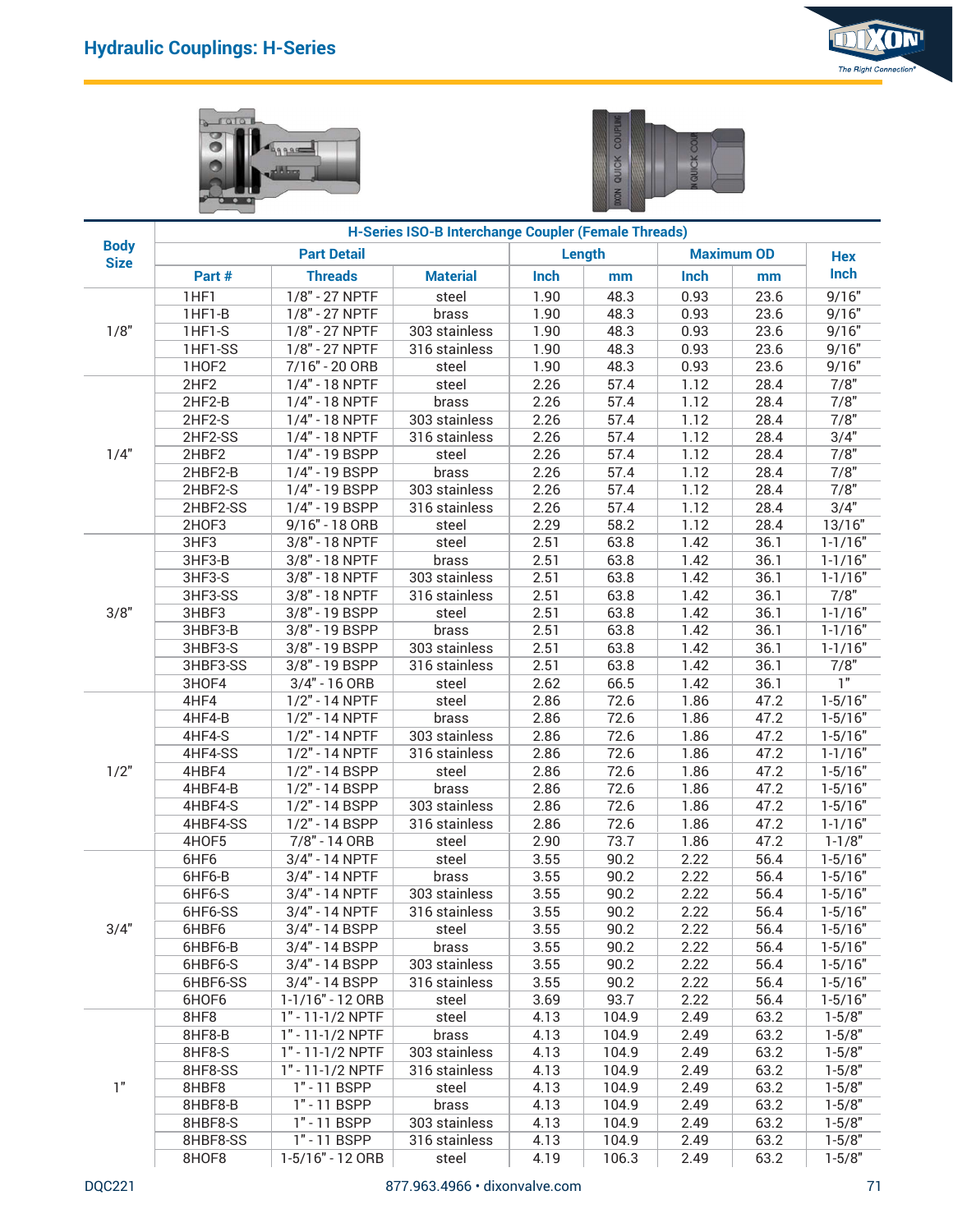





|                            |                    |                                    |                                                     |              |                |              |                   | The Right Connection       |
|----------------------------|--------------------|------------------------------------|-----------------------------------------------------|--------------|----------------|--------------|-------------------|----------------------------|
|                            | 1019               | 9.95                               |                                                     |              | QUICK          | čK           |                   |                            |
|                            |                    |                                    | H-Series ISO-B Interchange Coupler (Female Threads) |              |                |              |                   |                            |
| <b>Body</b><br><b>Size</b> |                    | <b>Part Detail</b>                 |                                                     |              | Length         |              | <b>Maximum OD</b> | <b>Hex</b>                 |
|                            | Part #             | <b>Threads</b>                     | <b>Material</b>                                     | <b>Inch</b>  | mm             | Inch         | mm                | Inch                       |
|                            | 1HF1               | 1/8" - 27 NPTF                     | steel                                               | 1.90         | 48.3           | 0.93         | 23.6              | 9/16"                      |
| 1/8"                       | 1HF1-B             | 1/8" - 27 NPTF<br>$1/8" - 27$ NPTF | brass                                               | 1.90         | 48.3           | 0.93         | 23.6              | 9/16"                      |
|                            | 1HF1-S<br>1HF1-SS  | 1/8" - 27 NPTF                     | 303 stainless<br>316 stainless                      | 1.90<br>1.90 | 48.3<br>48.3   | 0.93<br>0.93 | 23.6<br>23.6      | 9/16"<br>9/16"             |
|                            | 1HOF2              | 7/16" - 20 ORB                     | steel                                               | 1.90         | 48.3           | 0.93         | 23.6              | 9/16"                      |
|                            | 2HF2               | 1/4" - 18 NPTF                     | steel                                               | 2.26         | 57.4           | 1.12         | 28.4              | 7/8"                       |
|                            | 2HF2-B             | 1/4" - 18 NPTF                     | brass                                               | 2.26         | 57.4           | 1.12         | 28.4              | 7/8"                       |
|                            | 2HF2-S             | 1/4" - 18 NPTF                     | 303 stainless                                       | 2.26         | 57.4           | 1.12         | 28.4              | 7/8"                       |
|                            | 2HF2-SS            | 1/4" - 18 NPTF                     | 316 stainless                                       | 2.26         | 57.4           | 1.12         | 28.4              | 3/4"                       |
| 1/4"                       | 2HBF2<br>2HBF2-B   | 1/4" - 19 BSPP<br>1/4" - 19 BSPP   | steel<br>brass                                      | 2.26<br>2.26 | 57.4<br>57.4   | 1.12<br>1.12 | 28.4<br>28.4      | 7/8"<br>7/8"               |
|                            | 2HBF2-S            | 1/4" - 19 BSPP                     | 303 stainless                                       | 2.26         | 57.4           | 1.12         | 28.4              | 7/8"                       |
|                            | 2HBF2-SS           | 1/4" - 19 BSPP                     | 316 stainless                                       | 2.26         | 57.4           | 1.12         | 28.4              | 3/4"                       |
|                            | 2HOF3              | 9/16" - 18 ORB                     | steel                                               | 2.29         | 58.2           | 1.12         | 28.4              | 13/16"                     |
|                            | 3HF3               | 3/8" - 18 NPTF                     | steel                                               | 2.51         | 63.8           | 1.42         | 36.1              | $1 - 1/16"$                |
|                            | 3HF3-B             | 3/8" - 18 NPTF                     | brass                                               | 2.51         | 63.8           | 1.42         | 36.1              | $1 - 1/16"$                |
|                            | 3HF3-S             | 3/8" - 18 NPTF                     | 303 stainless                                       | 2.51         | 63.8           | 1.42         | 36.1              | $1 - 1/16"$                |
|                            | 3HF3-SS            | 3/8" - 18 NPTF                     | 316 stainless                                       | 2.51         | 63.8           | 1.42         | 36.1              | 7/8"                       |
| 3/8"                       | 3HBF3<br>3HBF3-B   | 3/8" - 19 BSPP<br>3/8" - 19 BSPP   | steel<br>brass                                      | 2.51<br>2.51 | 63.8<br>63.8   | 1.42<br>1.42 | 36.1<br>36.1      | $1 - 1/16"$<br>$1 - 1/16"$ |
|                            | 3HBF3-S            | 3/8" - 19 BSPP                     | 303 stainless                                       | 2.51         | 63.8           | 1.42         | 36.1              | $1 - 1/16"$                |
|                            | 3HBF3-SS           | 3/8" - 19 BSPP                     | 316 stainless                                       | 2.51         | 63.8           | 1.42         | 36.1              | 7/8"                       |
|                            | 3HOF4              | $3/4" - 16$ ORB                    | steel                                               | 2.62         | 66.5           | 1.42         | 36.1              | $\overline{1}$             |
|                            | 4HF4               | 1/2" - 14 NPTF                     | steel                                               | 2.86         | 72.6           | 1.86         | 47.2              | $1-5/16"$                  |
|                            | 4HF4-B             | 1/2" - 14 NPTF                     | brass                                               | 2.86         | 72.6           | 1.86         | 47.2              | $1 - 5/16"$                |
|                            | 4HF4-S             | 1/2" - 14 NPTF                     | 303 stainless                                       | 2.86         | 72.6           | 1.86         | 47.2              | $1 - 5/16"$                |
|                            | 4HF4-SS            | 1/2" - 14 NPTF                     | 316 stainless                                       | 2.86         | 72.6           | 1.86         | 47.2              | $1 - 1/16"$                |
| 1/2"                       | 4HBF4              | 1/2" - 14 BSPP                     | steel                                               | 2.86         | 72.6<br>72.6   | 1.86         | 47.2<br>47.2      | $1 - 5/16"$<br>$1 - 5/16"$ |
|                            | 4HBF4-B<br>4HBF4-S | 1/2" - 14 BSPP<br>1/2" - 14 BSPP   | brass<br>303 stainless                              | 2.86<br>2.86 | 72.6           | 1.86<br>1.86 | 47.2              | $1 - 5/16"$                |
|                            | 4HBF4-SS           | 1/2" - 14 BSPP                     | 316 stainless                                       | 2.86         | 72.6           | 1.86         | 47.2              | $1 - 1/16"$                |
|                            | 4HOF5              | 7/8" - 14 ORB                      | steel                                               | 2.90         | 73.7           | 1.86         | 47.2              | $1 - 1/8"$                 |
|                            | 6HF6               | 3/4" - 14 NPTF                     | steel                                               | 3.55         | 90.2           | 2.22         | 56.4              | $1 - 5/16"$                |
|                            | 6HF6-B             | 3/4" - 14 NPTF                     | brass                                               | 3.55         | 90.2           | 2.22         | 56.4              | $1 - 5/16"$                |
|                            | 6HF6-S             | 3/4" - 14 NPTF                     | 303 stainless                                       | 3.55         | 90.2           | 2.22         | 56.4              | $1 - 5/16"$                |
|                            | 6HF6-SS            | 3/4" - 14 NPTF                     | 316 stainless                                       | 3.55         | 90.2           | 2.22         | 56.4              | $1 - 5/16"$                |
| 3/4"                       | 6HBF6<br>6HBF6-B   | 3/4" - 14 BSPP<br>3/4" - 14 BSPP   | steel                                               | 3.55<br>3.55 | 90.2<br>90.2   | 2.22<br>2.22 | 56.4<br>56.4      | $1 - 5/16"$<br>$1 - 5/16"$ |
|                            | 6HBF6-S            | 3/4" - 14 BSPP                     | brass<br>303 stainless                              | 3.55         | 90.2           | 2.22         | 56.4              | $1 - 5/16"$                |
|                            | 6HBF6-SS           | 3/4" - 14 BSPP                     | 316 stainless                                       | 3.55         | 90.2           | 2.22         | 56.4              | $1 - 5/16"$                |
|                            | 6HOF6              | 1-1/16" - 12 ORB                   | steel                                               | 3.69         | 93.7           | 2.22         | 56.4              | $1 - 5/16"$                |
|                            | 8HF8               | 1" - 11-1/2 NPTF                   | steel                                               | 4.13         | 104.9          | 2.49         | 63.2              | $1 - 5/8"$                 |
|                            | 8HF8-B             | 1" - 11-1/2 NPTF                   | brass                                               | 4.13         | 104.9          | 2.49         | 63.2              | $1 - 5/8"$                 |
|                            | 8HF8-S             | 1" - 11-1/2 NPTF                   | 303 stainless                                       | 4.13         | 104.9          | 2.49         | 63.2              | $1 - 5/8"$                 |
|                            | 8HF8-SS            | 1" - 11-1/2 NPTF                   | 316 stainless                                       | 4.13         | 104.9          | 2.49         | 63.2              | $1 - 5/8"$                 |
| 1"                         | 8HBF8<br>8HBF8-B   | 1" - 11 BSPP<br>1" - 11 BSPP       | steel                                               | 4.13<br>4.13 | 104.9<br>104.9 | 2.49<br>2.49 | 63.2<br>63.2      | $1 - 5/8"$<br>$1 - 5/8"$   |
|                            | 8HBF8-S            | 1" - 11 BSPP                       | brass<br>303 stainless                              | 4.13         | 104.9          | 2.49         | 63.2              | $1 - 5/8"$                 |
|                            | 8HBF8-SS           | $1" - 11$ BSPP                     | 316 stainless                                       | 4.13         | 104.9          | 2.49         | 63.2              | $1 - 5/8"$                 |
|                            | 8HOF8              | 1-5/16" - 12 ORB                   | steel                                               | 4.19         | 106.3          | 2.49         | 63.2              | $1 - 5/8"$                 |
|                            |                    |                                    |                                                     |              |                |              |                   |                            |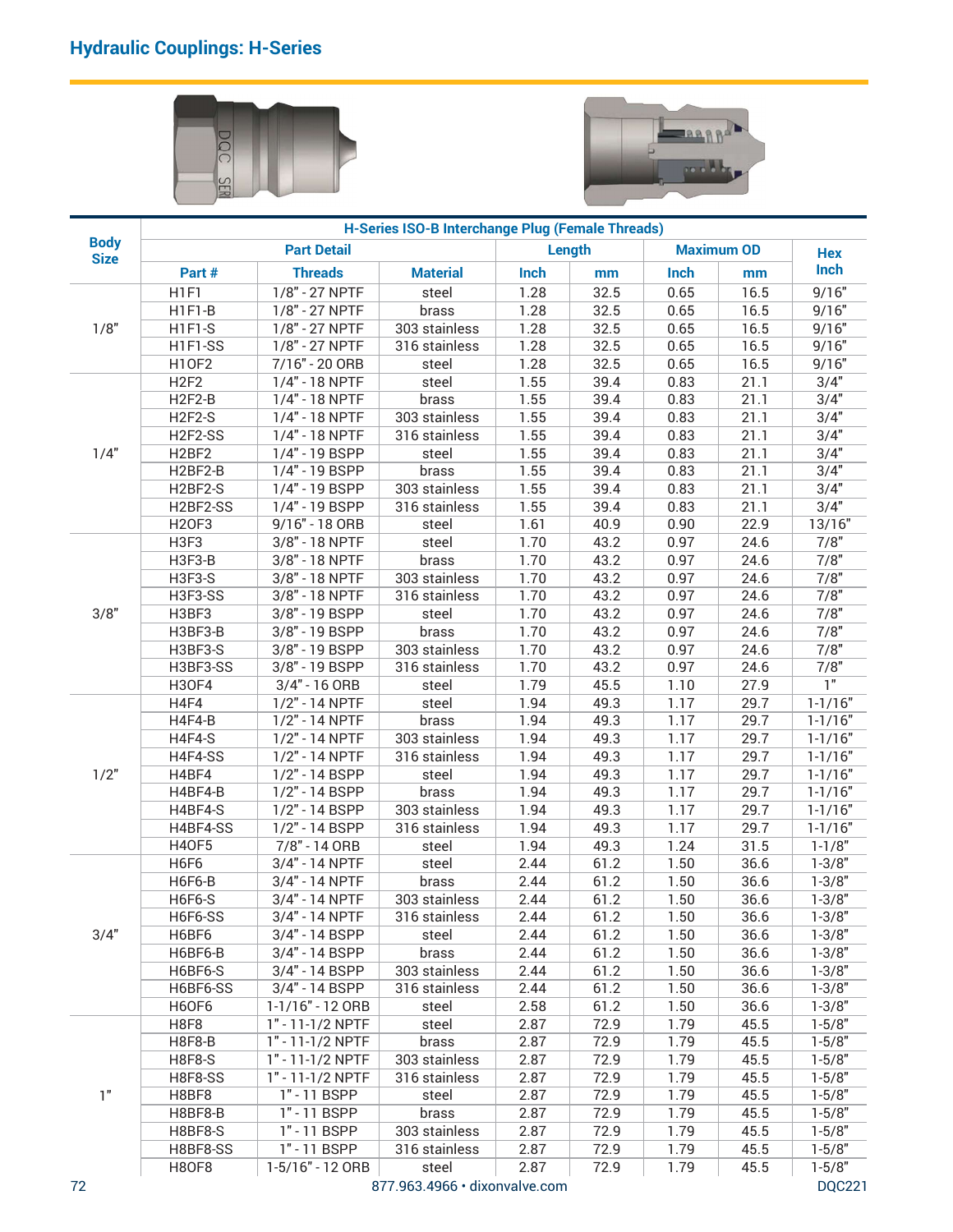



| H-Series ISO-B Interchange Plug (Female Threads)<br><b>Body</b><br><b>Maximum OD</b><br><b>Part Detail</b><br>Length<br><b>Hex</b><br><b>Size</b><br>Inch<br><b>Material</b><br>Inch<br>Part #<br><b>Threads</b><br>Inch<br>mm<br>mm<br>$1/8" - 27$ NPTF<br>9/16"<br>H <sub>1F1</sub><br>1.28<br>32.5<br>0.65<br>16.5<br>steel<br>1.28<br>32.5<br>0.65<br>H1F1-B<br>1/8" - 27 NPTF<br>16.5<br>9/16"<br>brass<br>1/8"<br>1.28<br>32.5<br>0.65<br>16.5<br>H1F1-S<br>1/8" - 27 NPTF<br>9/16"<br>303 stainless<br>1.28<br>32.5<br>H1F1-SS<br>1/8" - 27 NPTF<br>0.65<br>16.5<br>9/16"<br>316 stainless<br><b>H10F2</b><br>7/16" - 20 ORB<br>1.28<br>32.5<br>16.5<br>9/16"<br>0.65<br>steel<br>3/4"<br>H <sub>2F2</sub><br>1/4" - 18 NPTF<br>1.55<br>21.1<br>39.4<br>0.83<br>steel<br>3/4"<br>H <sub>2F2-B</sub><br>1/4" - 18 NPTF<br>1.55<br>21.1<br>brass<br>39.4<br>0.83<br>H <sub>2F2-S</sub><br>1/4" - 18 NPTF<br>1.55<br>21.1<br>3/4"<br>303 stainless<br>39.4<br>0.83<br>21.1<br>3/4"<br>H <sub>2F2-SS</sub><br>1/4" - 18 NPTF<br>1.55<br>39.4<br>0.83<br>316 stainless<br>3/4"<br>1/4"<br>H <sub>2</sub> BF <sub>2</sub><br>1.55<br>39.4<br>0.83<br>21.1<br>1/4" - 19 BSPP<br>steel<br>21.1<br>3/4"<br>H2BF2-B<br>1.55<br>39.4<br>0.83<br>1/4" - 19 BSPP<br>brass<br>1.55<br>21.1<br>3/4"<br>H2BF2-S<br>1/4" - 19 BSPP<br>39.4<br>0.83<br>303 stainless<br>1.55<br>21.1<br>3/4"<br>H2BF2-SS<br>1/4" - 19 BSPP<br>39.4<br>0.83<br>316 stainless<br>1.61<br><b>H2OF3</b><br>9/16" - 18 ORB<br>40.9<br>0.90<br>22.9<br>13/16"<br>steel<br>7/8"<br>3/8" - 18 NPTF<br>1.70<br>43.2<br>0.97<br>24.6<br>H3F3<br>steel<br>H3F3-B<br>3/8" - 18 NPTF<br>7/8"<br>1.70<br>43.2<br>0.97<br>24.6<br>brass<br>7/8"<br><b>H3F3-S</b><br>$3/8" - 18$ NPTF<br>43.2<br>303 stainless<br>1.70<br>0.97<br>24.6<br>7/8"<br>3/8" - 18 NPTF<br>H3F3-SS<br>1.70<br>43.2<br>0.97<br>24.6<br>316 stainless<br>7/8"<br>3/8"<br>H3BF3<br>3/8" - 19 BSPP<br>1.70<br>43.2<br>0.97<br>24.6<br>steel<br>7/8"<br>H3BF3-B<br>3/8" - 19 BSPP<br>1.70<br>43.2<br>0.97<br>24.6<br>brass<br>7/8"<br>H3BF3-S<br>3/8" - 19 BSPP<br>303 stainless<br>1.70<br>43.2<br>24.6<br>0.97<br>7/8"<br>H3BF3-SS<br>3/8" - 19 BSPP<br>1.70<br>43.2<br>24.6<br>316 stainless<br>0.97<br>$\overline{1}$<br>1.79<br>45.5<br>27.9<br><b>H30F4</b><br>3/4" - 16 ORB<br>1.10<br>steel<br>$1 - 1/16"$<br>H4F4<br>1/2" - 14 NPTF<br>1.94<br>49.3<br>1.17<br>29.7<br>steel<br>1.17<br>$1 - 1/16"$<br>H4F4-B<br>1/2" - 14 NPTF<br>1.94<br>49.3<br>29.7<br>brass<br>$1 - 1/16"$<br>H4F4-S<br>1/2" - 14 NPTF<br>303 stainless<br>1.94<br>49.3<br>1.17<br>29.7<br>H4F4-SS<br>1/2" - 14 NPTF<br>1.94<br>49.3<br>1.17<br>29.7<br>316 stainless<br>29.7<br>1/2"<br>H4BF4<br>1/2" - 14 BSPP<br>1.94<br>49.3<br>1.17<br>steel<br>H4BF4-B<br>1/2" - 14 BSPP<br>29.7<br>1.94<br>49.3<br>1.17<br>brass<br>$1 - 1/16"$<br>H4BF4-S<br>1/2" - 14 BSPP<br>1.94<br>49.3<br>1.17<br>29.7<br>303 stainless<br>H4BF4-SS<br>1/2" - 14 BSPP<br>1.94<br>49.3<br>1.17<br>29.7<br>$1 - 1/16"$<br>316 stainless<br><b>H40F5</b><br>7/8" - 14 ORB<br>1.94<br>49.3<br>1.24<br>31.5<br>steel<br>H6F6<br>$1 - 3/8"$<br>3/4" - 14 NPTF<br>2.44<br>61.2<br>1.50<br>36.6<br>steel<br>61.2<br>$1 - 3/8"$<br>H6F6-B<br>3/4" - 14 NPTF<br>2.44<br>1.50<br>36.6<br>brass<br>$1 - 3/8"$<br>H6F6-S<br>3/4" - 14 NPTF<br>2.44<br>36.6<br>303 stainless<br>61.2<br>1.50<br>$1 - 3/8"$<br>H6F6-SS<br>3/4" - 14 NPTF<br>2.44<br>61.2<br>1.50<br>36.6<br>316 stainless<br>61.2<br>$1 - 3/8"$<br>3/4"<br>H6BF6<br>3/4" - 14 BSPP<br>2.44<br>1.50<br>36.6<br>steel<br>H6BF6-B<br>3/4" - 14 BSPP<br>2.44<br>61.2<br>1.50<br>36.6<br>$1 - 3/8"$<br>brass<br>$1 - 3/8"$<br>H6BF6-S<br>3/4" - 14 BSPP<br>303 stainless<br>2.44<br>61.2<br>1.50<br>36.6<br>3/4" - 14 BSPP<br>61.2<br>H6BF6-SS<br>2.44<br>1.50<br>36.6<br>316 stainless<br>H6OF6<br>1-1/16" - 12 ORB<br>2.58<br>61.2<br>$1 - 3/8"$<br>1.50<br>36.6<br>steel<br>H8F8<br>1" - 11-1/2 NPTF<br>2.87<br>72.9<br>1.79<br>45.5<br>$1 - 5/8"$<br>steel<br>$1 - 5/8"$<br><b>H8F8-B</b><br>1" - 11-1/2 NPTF<br>2.87<br>72.9<br>1.79<br>45.5<br>brass<br><b>H8F8-S</b><br>1" - 11-1/2 NPTF<br>2.87<br>72.9<br>1.79<br>45.5<br>$1 - 5/8"$<br>303 stainless<br>1" - 11-1/2 NPTF<br>2.87<br>72.9<br>1.79<br>45.5<br><b>H8F8-SS</b><br>316 stainless<br>1"<br>H8BF8<br>1" - 11 BSPP<br>2.87<br>72.9<br>1.79<br>45.5<br>steel<br>$1 - 5/8"$<br>H8BF8-B<br>2.87<br>72.9<br>1.79<br>45.5<br>1" - 11 BSPP<br>brass<br>H8BF8-S<br>2.87<br>72.9<br>1.79<br>45.5<br>$1 - 5/8"$<br>1" - 11 BSPP<br>303 stainless<br>2.87<br>72.9<br>1.79<br>45.5<br>$1 - 5/8"$<br>H8BF8-SS<br>1" - 11 BSPP<br>316 stainless | DQ<br>SER |  |  |  |             |
|--------------------------------------------------------------------------------------------------------------------------------------------------------------------------------------------------------------------------------------------------------------------------------------------------------------------------------------------------------------------------------------------------------------------------------------------------------------------------------------------------------------------------------------------------------------------------------------------------------------------------------------------------------------------------------------------------------------------------------------------------------------------------------------------------------------------------------------------------------------------------------------------------------------------------------------------------------------------------------------------------------------------------------------------------------------------------------------------------------------------------------------------------------------------------------------------------------------------------------------------------------------------------------------------------------------------------------------------------------------------------------------------------------------------------------------------------------------------------------------------------------------------------------------------------------------------------------------------------------------------------------------------------------------------------------------------------------------------------------------------------------------------------------------------------------------------------------------------------------------------------------------------------------------------------------------------------------------------------------------------------------------------------------------------------------------------------------------------------------------------------------------------------------------------------------------------------------------------------------------------------------------------------------------------------------------------------------------------------------------------------------------------------------------------------------------------------------------------------------------------------------------------------------------------------------------------------------------------------------------------------------------------------------------------------------------------------------------------------------------------------------------------------------------------------------------------------------------------------------------------------------------------------------------------------------------------------------------------------------------------------------------------------------------------------------------------------------------------------------------------------------------------------------------------------------------------------------------------------------------------------------------------------------------------------------------------------------------------------------------------------------------------------------------------------------------------------------------------------------------------------------------------------------------------------------------------------------------------------------------------------------------------------------------------------------------------------------------------------------------------------------------------------------------------------------------------------------------------------------------------------------------------------------------------------------------------------------------------------------------------------------------------------------------------------------------------------------------------------------------------------------------------------------------------------------------------------------------------------------------------------------------------------------------------------------------------------------------------------------------------------------------------------------------------------------------------------------------------------------------------------------------------------------------------------------------------------------------------------------------------------------------|-----------|--|--|--|-------------|
|                                                                                                                                                                                                                                                                                                                                                                                                                                                                                                                                                                                                                                                                                                                                                                                                                                                                                                                                                                                                                                                                                                                                                                                                                                                                                                                                                                                                                                                                                                                                                                                                                                                                                                                                                                                                                                                                                                                                                                                                                                                                                                                                                                                                                                                                                                                                                                                                                                                                                                                                                                                                                                                                                                                                                                                                                                                                                                                                                                                                                                                                                                                                                                                                                                                                                                                                                                                                                                                                                                                                                                                                                                                                                                                                                                                                                                                                                                                                                                                                                                                                                                                                                                                                                                                                                                                                                                                                                                                                                                                                                                                                                                      |           |  |  |  |             |
|                                                                                                                                                                                                                                                                                                                                                                                                                                                                                                                                                                                                                                                                                                                                                                                                                                                                                                                                                                                                                                                                                                                                                                                                                                                                                                                                                                                                                                                                                                                                                                                                                                                                                                                                                                                                                                                                                                                                                                                                                                                                                                                                                                                                                                                                                                                                                                                                                                                                                                                                                                                                                                                                                                                                                                                                                                                                                                                                                                                                                                                                                                                                                                                                                                                                                                                                                                                                                                                                                                                                                                                                                                                                                                                                                                                                                                                                                                                                                                                                                                                                                                                                                                                                                                                                                                                                                                                                                                                                                                                                                                                                                                      |           |  |  |  |             |
|                                                                                                                                                                                                                                                                                                                                                                                                                                                                                                                                                                                                                                                                                                                                                                                                                                                                                                                                                                                                                                                                                                                                                                                                                                                                                                                                                                                                                                                                                                                                                                                                                                                                                                                                                                                                                                                                                                                                                                                                                                                                                                                                                                                                                                                                                                                                                                                                                                                                                                                                                                                                                                                                                                                                                                                                                                                                                                                                                                                                                                                                                                                                                                                                                                                                                                                                                                                                                                                                                                                                                                                                                                                                                                                                                                                                                                                                                                                                                                                                                                                                                                                                                                                                                                                                                                                                                                                                                                                                                                                                                                                                                                      |           |  |  |  |             |
|                                                                                                                                                                                                                                                                                                                                                                                                                                                                                                                                                                                                                                                                                                                                                                                                                                                                                                                                                                                                                                                                                                                                                                                                                                                                                                                                                                                                                                                                                                                                                                                                                                                                                                                                                                                                                                                                                                                                                                                                                                                                                                                                                                                                                                                                                                                                                                                                                                                                                                                                                                                                                                                                                                                                                                                                                                                                                                                                                                                                                                                                                                                                                                                                                                                                                                                                                                                                                                                                                                                                                                                                                                                                                                                                                                                                                                                                                                                                                                                                                                                                                                                                                                                                                                                                                                                                                                                                                                                                                                                                                                                                                                      |           |  |  |  |             |
|                                                                                                                                                                                                                                                                                                                                                                                                                                                                                                                                                                                                                                                                                                                                                                                                                                                                                                                                                                                                                                                                                                                                                                                                                                                                                                                                                                                                                                                                                                                                                                                                                                                                                                                                                                                                                                                                                                                                                                                                                                                                                                                                                                                                                                                                                                                                                                                                                                                                                                                                                                                                                                                                                                                                                                                                                                                                                                                                                                                                                                                                                                                                                                                                                                                                                                                                                                                                                                                                                                                                                                                                                                                                                                                                                                                                                                                                                                                                                                                                                                                                                                                                                                                                                                                                                                                                                                                                                                                                                                                                                                                                                                      |           |  |  |  |             |
|                                                                                                                                                                                                                                                                                                                                                                                                                                                                                                                                                                                                                                                                                                                                                                                                                                                                                                                                                                                                                                                                                                                                                                                                                                                                                                                                                                                                                                                                                                                                                                                                                                                                                                                                                                                                                                                                                                                                                                                                                                                                                                                                                                                                                                                                                                                                                                                                                                                                                                                                                                                                                                                                                                                                                                                                                                                                                                                                                                                                                                                                                                                                                                                                                                                                                                                                                                                                                                                                                                                                                                                                                                                                                                                                                                                                                                                                                                                                                                                                                                                                                                                                                                                                                                                                                                                                                                                                                                                                                                                                                                                                                                      |           |  |  |  |             |
|                                                                                                                                                                                                                                                                                                                                                                                                                                                                                                                                                                                                                                                                                                                                                                                                                                                                                                                                                                                                                                                                                                                                                                                                                                                                                                                                                                                                                                                                                                                                                                                                                                                                                                                                                                                                                                                                                                                                                                                                                                                                                                                                                                                                                                                                                                                                                                                                                                                                                                                                                                                                                                                                                                                                                                                                                                                                                                                                                                                                                                                                                                                                                                                                                                                                                                                                                                                                                                                                                                                                                                                                                                                                                                                                                                                                                                                                                                                                                                                                                                                                                                                                                                                                                                                                                                                                                                                                                                                                                                                                                                                                                                      |           |  |  |  |             |
|                                                                                                                                                                                                                                                                                                                                                                                                                                                                                                                                                                                                                                                                                                                                                                                                                                                                                                                                                                                                                                                                                                                                                                                                                                                                                                                                                                                                                                                                                                                                                                                                                                                                                                                                                                                                                                                                                                                                                                                                                                                                                                                                                                                                                                                                                                                                                                                                                                                                                                                                                                                                                                                                                                                                                                                                                                                                                                                                                                                                                                                                                                                                                                                                                                                                                                                                                                                                                                                                                                                                                                                                                                                                                                                                                                                                                                                                                                                                                                                                                                                                                                                                                                                                                                                                                                                                                                                                                                                                                                                                                                                                                                      |           |  |  |  |             |
|                                                                                                                                                                                                                                                                                                                                                                                                                                                                                                                                                                                                                                                                                                                                                                                                                                                                                                                                                                                                                                                                                                                                                                                                                                                                                                                                                                                                                                                                                                                                                                                                                                                                                                                                                                                                                                                                                                                                                                                                                                                                                                                                                                                                                                                                                                                                                                                                                                                                                                                                                                                                                                                                                                                                                                                                                                                                                                                                                                                                                                                                                                                                                                                                                                                                                                                                                                                                                                                                                                                                                                                                                                                                                                                                                                                                                                                                                                                                                                                                                                                                                                                                                                                                                                                                                                                                                                                                                                                                                                                                                                                                                                      |           |  |  |  |             |
|                                                                                                                                                                                                                                                                                                                                                                                                                                                                                                                                                                                                                                                                                                                                                                                                                                                                                                                                                                                                                                                                                                                                                                                                                                                                                                                                                                                                                                                                                                                                                                                                                                                                                                                                                                                                                                                                                                                                                                                                                                                                                                                                                                                                                                                                                                                                                                                                                                                                                                                                                                                                                                                                                                                                                                                                                                                                                                                                                                                                                                                                                                                                                                                                                                                                                                                                                                                                                                                                                                                                                                                                                                                                                                                                                                                                                                                                                                                                                                                                                                                                                                                                                                                                                                                                                                                                                                                                                                                                                                                                                                                                                                      |           |  |  |  |             |
|                                                                                                                                                                                                                                                                                                                                                                                                                                                                                                                                                                                                                                                                                                                                                                                                                                                                                                                                                                                                                                                                                                                                                                                                                                                                                                                                                                                                                                                                                                                                                                                                                                                                                                                                                                                                                                                                                                                                                                                                                                                                                                                                                                                                                                                                                                                                                                                                                                                                                                                                                                                                                                                                                                                                                                                                                                                                                                                                                                                                                                                                                                                                                                                                                                                                                                                                                                                                                                                                                                                                                                                                                                                                                                                                                                                                                                                                                                                                                                                                                                                                                                                                                                                                                                                                                                                                                                                                                                                                                                                                                                                                                                      |           |  |  |  |             |
|                                                                                                                                                                                                                                                                                                                                                                                                                                                                                                                                                                                                                                                                                                                                                                                                                                                                                                                                                                                                                                                                                                                                                                                                                                                                                                                                                                                                                                                                                                                                                                                                                                                                                                                                                                                                                                                                                                                                                                                                                                                                                                                                                                                                                                                                                                                                                                                                                                                                                                                                                                                                                                                                                                                                                                                                                                                                                                                                                                                                                                                                                                                                                                                                                                                                                                                                                                                                                                                                                                                                                                                                                                                                                                                                                                                                                                                                                                                                                                                                                                                                                                                                                                                                                                                                                                                                                                                                                                                                                                                                                                                                                                      |           |  |  |  |             |
|                                                                                                                                                                                                                                                                                                                                                                                                                                                                                                                                                                                                                                                                                                                                                                                                                                                                                                                                                                                                                                                                                                                                                                                                                                                                                                                                                                                                                                                                                                                                                                                                                                                                                                                                                                                                                                                                                                                                                                                                                                                                                                                                                                                                                                                                                                                                                                                                                                                                                                                                                                                                                                                                                                                                                                                                                                                                                                                                                                                                                                                                                                                                                                                                                                                                                                                                                                                                                                                                                                                                                                                                                                                                                                                                                                                                                                                                                                                                                                                                                                                                                                                                                                                                                                                                                                                                                                                                                                                                                                                                                                                                                                      |           |  |  |  |             |
|                                                                                                                                                                                                                                                                                                                                                                                                                                                                                                                                                                                                                                                                                                                                                                                                                                                                                                                                                                                                                                                                                                                                                                                                                                                                                                                                                                                                                                                                                                                                                                                                                                                                                                                                                                                                                                                                                                                                                                                                                                                                                                                                                                                                                                                                                                                                                                                                                                                                                                                                                                                                                                                                                                                                                                                                                                                                                                                                                                                                                                                                                                                                                                                                                                                                                                                                                                                                                                                                                                                                                                                                                                                                                                                                                                                                                                                                                                                                                                                                                                                                                                                                                                                                                                                                                                                                                                                                                                                                                                                                                                                                                                      |           |  |  |  |             |
|                                                                                                                                                                                                                                                                                                                                                                                                                                                                                                                                                                                                                                                                                                                                                                                                                                                                                                                                                                                                                                                                                                                                                                                                                                                                                                                                                                                                                                                                                                                                                                                                                                                                                                                                                                                                                                                                                                                                                                                                                                                                                                                                                                                                                                                                                                                                                                                                                                                                                                                                                                                                                                                                                                                                                                                                                                                                                                                                                                                                                                                                                                                                                                                                                                                                                                                                                                                                                                                                                                                                                                                                                                                                                                                                                                                                                                                                                                                                                                                                                                                                                                                                                                                                                                                                                                                                                                                                                                                                                                                                                                                                                                      |           |  |  |  |             |
|                                                                                                                                                                                                                                                                                                                                                                                                                                                                                                                                                                                                                                                                                                                                                                                                                                                                                                                                                                                                                                                                                                                                                                                                                                                                                                                                                                                                                                                                                                                                                                                                                                                                                                                                                                                                                                                                                                                                                                                                                                                                                                                                                                                                                                                                                                                                                                                                                                                                                                                                                                                                                                                                                                                                                                                                                                                                                                                                                                                                                                                                                                                                                                                                                                                                                                                                                                                                                                                                                                                                                                                                                                                                                                                                                                                                                                                                                                                                                                                                                                                                                                                                                                                                                                                                                                                                                                                                                                                                                                                                                                                                                                      |           |  |  |  |             |
|                                                                                                                                                                                                                                                                                                                                                                                                                                                                                                                                                                                                                                                                                                                                                                                                                                                                                                                                                                                                                                                                                                                                                                                                                                                                                                                                                                                                                                                                                                                                                                                                                                                                                                                                                                                                                                                                                                                                                                                                                                                                                                                                                                                                                                                                                                                                                                                                                                                                                                                                                                                                                                                                                                                                                                                                                                                                                                                                                                                                                                                                                                                                                                                                                                                                                                                                                                                                                                                                                                                                                                                                                                                                                                                                                                                                                                                                                                                                                                                                                                                                                                                                                                                                                                                                                                                                                                                                                                                                                                                                                                                                                                      |           |  |  |  |             |
|                                                                                                                                                                                                                                                                                                                                                                                                                                                                                                                                                                                                                                                                                                                                                                                                                                                                                                                                                                                                                                                                                                                                                                                                                                                                                                                                                                                                                                                                                                                                                                                                                                                                                                                                                                                                                                                                                                                                                                                                                                                                                                                                                                                                                                                                                                                                                                                                                                                                                                                                                                                                                                                                                                                                                                                                                                                                                                                                                                                                                                                                                                                                                                                                                                                                                                                                                                                                                                                                                                                                                                                                                                                                                                                                                                                                                                                                                                                                                                                                                                                                                                                                                                                                                                                                                                                                                                                                                                                                                                                                                                                                                                      |           |  |  |  |             |
|                                                                                                                                                                                                                                                                                                                                                                                                                                                                                                                                                                                                                                                                                                                                                                                                                                                                                                                                                                                                                                                                                                                                                                                                                                                                                                                                                                                                                                                                                                                                                                                                                                                                                                                                                                                                                                                                                                                                                                                                                                                                                                                                                                                                                                                                                                                                                                                                                                                                                                                                                                                                                                                                                                                                                                                                                                                                                                                                                                                                                                                                                                                                                                                                                                                                                                                                                                                                                                                                                                                                                                                                                                                                                                                                                                                                                                                                                                                                                                                                                                                                                                                                                                                                                                                                                                                                                                                                                                                                                                                                                                                                                                      |           |  |  |  |             |
|                                                                                                                                                                                                                                                                                                                                                                                                                                                                                                                                                                                                                                                                                                                                                                                                                                                                                                                                                                                                                                                                                                                                                                                                                                                                                                                                                                                                                                                                                                                                                                                                                                                                                                                                                                                                                                                                                                                                                                                                                                                                                                                                                                                                                                                                                                                                                                                                                                                                                                                                                                                                                                                                                                                                                                                                                                                                                                                                                                                                                                                                                                                                                                                                                                                                                                                                                                                                                                                                                                                                                                                                                                                                                                                                                                                                                                                                                                                                                                                                                                                                                                                                                                                                                                                                                                                                                                                                                                                                                                                                                                                                                                      |           |  |  |  |             |
|                                                                                                                                                                                                                                                                                                                                                                                                                                                                                                                                                                                                                                                                                                                                                                                                                                                                                                                                                                                                                                                                                                                                                                                                                                                                                                                                                                                                                                                                                                                                                                                                                                                                                                                                                                                                                                                                                                                                                                                                                                                                                                                                                                                                                                                                                                                                                                                                                                                                                                                                                                                                                                                                                                                                                                                                                                                                                                                                                                                                                                                                                                                                                                                                                                                                                                                                                                                                                                                                                                                                                                                                                                                                                                                                                                                                                                                                                                                                                                                                                                                                                                                                                                                                                                                                                                                                                                                                                                                                                                                                                                                                                                      |           |  |  |  |             |
|                                                                                                                                                                                                                                                                                                                                                                                                                                                                                                                                                                                                                                                                                                                                                                                                                                                                                                                                                                                                                                                                                                                                                                                                                                                                                                                                                                                                                                                                                                                                                                                                                                                                                                                                                                                                                                                                                                                                                                                                                                                                                                                                                                                                                                                                                                                                                                                                                                                                                                                                                                                                                                                                                                                                                                                                                                                                                                                                                                                                                                                                                                                                                                                                                                                                                                                                                                                                                                                                                                                                                                                                                                                                                                                                                                                                                                                                                                                                                                                                                                                                                                                                                                                                                                                                                                                                                                                                                                                                                                                                                                                                                                      |           |  |  |  |             |
|                                                                                                                                                                                                                                                                                                                                                                                                                                                                                                                                                                                                                                                                                                                                                                                                                                                                                                                                                                                                                                                                                                                                                                                                                                                                                                                                                                                                                                                                                                                                                                                                                                                                                                                                                                                                                                                                                                                                                                                                                                                                                                                                                                                                                                                                                                                                                                                                                                                                                                                                                                                                                                                                                                                                                                                                                                                                                                                                                                                                                                                                                                                                                                                                                                                                                                                                                                                                                                                                                                                                                                                                                                                                                                                                                                                                                                                                                                                                                                                                                                                                                                                                                                                                                                                                                                                                                                                                                                                                                                                                                                                                                                      |           |  |  |  |             |
|                                                                                                                                                                                                                                                                                                                                                                                                                                                                                                                                                                                                                                                                                                                                                                                                                                                                                                                                                                                                                                                                                                                                                                                                                                                                                                                                                                                                                                                                                                                                                                                                                                                                                                                                                                                                                                                                                                                                                                                                                                                                                                                                                                                                                                                                                                                                                                                                                                                                                                                                                                                                                                                                                                                                                                                                                                                                                                                                                                                                                                                                                                                                                                                                                                                                                                                                                                                                                                                                                                                                                                                                                                                                                                                                                                                                                                                                                                                                                                                                                                                                                                                                                                                                                                                                                                                                                                                                                                                                                                                                                                                                                                      |           |  |  |  | $1 - 1/16"$ |
|                                                                                                                                                                                                                                                                                                                                                                                                                                                                                                                                                                                                                                                                                                                                                                                                                                                                                                                                                                                                                                                                                                                                                                                                                                                                                                                                                                                                                                                                                                                                                                                                                                                                                                                                                                                                                                                                                                                                                                                                                                                                                                                                                                                                                                                                                                                                                                                                                                                                                                                                                                                                                                                                                                                                                                                                                                                                                                                                                                                                                                                                                                                                                                                                                                                                                                                                                                                                                                                                                                                                                                                                                                                                                                                                                                                                                                                                                                                                                                                                                                                                                                                                                                                                                                                                                                                                                                                                                                                                                                                                                                                                                                      |           |  |  |  | $1 - 1/16"$ |
|                                                                                                                                                                                                                                                                                                                                                                                                                                                                                                                                                                                                                                                                                                                                                                                                                                                                                                                                                                                                                                                                                                                                                                                                                                                                                                                                                                                                                                                                                                                                                                                                                                                                                                                                                                                                                                                                                                                                                                                                                                                                                                                                                                                                                                                                                                                                                                                                                                                                                                                                                                                                                                                                                                                                                                                                                                                                                                                                                                                                                                                                                                                                                                                                                                                                                                                                                                                                                                                                                                                                                                                                                                                                                                                                                                                                                                                                                                                                                                                                                                                                                                                                                                                                                                                                                                                                                                                                                                                                                                                                                                                                                                      |           |  |  |  | $1 - 1/16"$ |
|                                                                                                                                                                                                                                                                                                                                                                                                                                                                                                                                                                                                                                                                                                                                                                                                                                                                                                                                                                                                                                                                                                                                                                                                                                                                                                                                                                                                                                                                                                                                                                                                                                                                                                                                                                                                                                                                                                                                                                                                                                                                                                                                                                                                                                                                                                                                                                                                                                                                                                                                                                                                                                                                                                                                                                                                                                                                                                                                                                                                                                                                                                                                                                                                                                                                                                                                                                                                                                                                                                                                                                                                                                                                                                                                                                                                                                                                                                                                                                                                                                                                                                                                                                                                                                                                                                                                                                                                                                                                                                                                                                                                                                      |           |  |  |  |             |
|                                                                                                                                                                                                                                                                                                                                                                                                                                                                                                                                                                                                                                                                                                                                                                                                                                                                                                                                                                                                                                                                                                                                                                                                                                                                                                                                                                                                                                                                                                                                                                                                                                                                                                                                                                                                                                                                                                                                                                                                                                                                                                                                                                                                                                                                                                                                                                                                                                                                                                                                                                                                                                                                                                                                                                                                                                                                                                                                                                                                                                                                                                                                                                                                                                                                                                                                                                                                                                                                                                                                                                                                                                                                                                                                                                                                                                                                                                                                                                                                                                                                                                                                                                                                                                                                                                                                                                                                                                                                                                                                                                                                                                      |           |  |  |  | $1 - 1/8"$  |
|                                                                                                                                                                                                                                                                                                                                                                                                                                                                                                                                                                                                                                                                                                                                                                                                                                                                                                                                                                                                                                                                                                                                                                                                                                                                                                                                                                                                                                                                                                                                                                                                                                                                                                                                                                                                                                                                                                                                                                                                                                                                                                                                                                                                                                                                                                                                                                                                                                                                                                                                                                                                                                                                                                                                                                                                                                                                                                                                                                                                                                                                                                                                                                                                                                                                                                                                                                                                                                                                                                                                                                                                                                                                                                                                                                                                                                                                                                                                                                                                                                                                                                                                                                                                                                                                                                                                                                                                                                                                                                                                                                                                                                      |           |  |  |  |             |
|                                                                                                                                                                                                                                                                                                                                                                                                                                                                                                                                                                                                                                                                                                                                                                                                                                                                                                                                                                                                                                                                                                                                                                                                                                                                                                                                                                                                                                                                                                                                                                                                                                                                                                                                                                                                                                                                                                                                                                                                                                                                                                                                                                                                                                                                                                                                                                                                                                                                                                                                                                                                                                                                                                                                                                                                                                                                                                                                                                                                                                                                                                                                                                                                                                                                                                                                                                                                                                                                                                                                                                                                                                                                                                                                                                                                                                                                                                                                                                                                                                                                                                                                                                                                                                                                                                                                                                                                                                                                                                                                                                                                                                      |           |  |  |  |             |
|                                                                                                                                                                                                                                                                                                                                                                                                                                                                                                                                                                                                                                                                                                                                                                                                                                                                                                                                                                                                                                                                                                                                                                                                                                                                                                                                                                                                                                                                                                                                                                                                                                                                                                                                                                                                                                                                                                                                                                                                                                                                                                                                                                                                                                                                                                                                                                                                                                                                                                                                                                                                                                                                                                                                                                                                                                                                                                                                                                                                                                                                                                                                                                                                                                                                                                                                                                                                                                                                                                                                                                                                                                                                                                                                                                                                                                                                                                                                                                                                                                                                                                                                                                                                                                                                                                                                                                                                                                                                                                                                                                                                                                      |           |  |  |  |             |
|                                                                                                                                                                                                                                                                                                                                                                                                                                                                                                                                                                                                                                                                                                                                                                                                                                                                                                                                                                                                                                                                                                                                                                                                                                                                                                                                                                                                                                                                                                                                                                                                                                                                                                                                                                                                                                                                                                                                                                                                                                                                                                                                                                                                                                                                                                                                                                                                                                                                                                                                                                                                                                                                                                                                                                                                                                                                                                                                                                                                                                                                                                                                                                                                                                                                                                                                                                                                                                                                                                                                                                                                                                                                                                                                                                                                                                                                                                                                                                                                                                                                                                                                                                                                                                                                                                                                                                                                                                                                                                                                                                                                                                      |           |  |  |  |             |
|                                                                                                                                                                                                                                                                                                                                                                                                                                                                                                                                                                                                                                                                                                                                                                                                                                                                                                                                                                                                                                                                                                                                                                                                                                                                                                                                                                                                                                                                                                                                                                                                                                                                                                                                                                                                                                                                                                                                                                                                                                                                                                                                                                                                                                                                                                                                                                                                                                                                                                                                                                                                                                                                                                                                                                                                                                                                                                                                                                                                                                                                                                                                                                                                                                                                                                                                                                                                                                                                                                                                                                                                                                                                                                                                                                                                                                                                                                                                                                                                                                                                                                                                                                                                                                                                                                                                                                                                                                                                                                                                                                                                                                      |           |  |  |  |             |
|                                                                                                                                                                                                                                                                                                                                                                                                                                                                                                                                                                                                                                                                                                                                                                                                                                                                                                                                                                                                                                                                                                                                                                                                                                                                                                                                                                                                                                                                                                                                                                                                                                                                                                                                                                                                                                                                                                                                                                                                                                                                                                                                                                                                                                                                                                                                                                                                                                                                                                                                                                                                                                                                                                                                                                                                                                                                                                                                                                                                                                                                                                                                                                                                                                                                                                                                                                                                                                                                                                                                                                                                                                                                                                                                                                                                                                                                                                                                                                                                                                                                                                                                                                                                                                                                                                                                                                                                                                                                                                                                                                                                                                      |           |  |  |  |             |
|                                                                                                                                                                                                                                                                                                                                                                                                                                                                                                                                                                                                                                                                                                                                                                                                                                                                                                                                                                                                                                                                                                                                                                                                                                                                                                                                                                                                                                                                                                                                                                                                                                                                                                                                                                                                                                                                                                                                                                                                                                                                                                                                                                                                                                                                                                                                                                                                                                                                                                                                                                                                                                                                                                                                                                                                                                                                                                                                                                                                                                                                                                                                                                                                                                                                                                                                                                                                                                                                                                                                                                                                                                                                                                                                                                                                                                                                                                                                                                                                                                                                                                                                                                                                                                                                                                                                                                                                                                                                                                                                                                                                                                      |           |  |  |  | $1 - 3/8"$  |
|                                                                                                                                                                                                                                                                                                                                                                                                                                                                                                                                                                                                                                                                                                                                                                                                                                                                                                                                                                                                                                                                                                                                                                                                                                                                                                                                                                                                                                                                                                                                                                                                                                                                                                                                                                                                                                                                                                                                                                                                                                                                                                                                                                                                                                                                                                                                                                                                                                                                                                                                                                                                                                                                                                                                                                                                                                                                                                                                                                                                                                                                                                                                                                                                                                                                                                                                                                                                                                                                                                                                                                                                                                                                                                                                                                                                                                                                                                                                                                                                                                                                                                                                                                                                                                                                                                                                                                                                                                                                                                                                                                                                                                      |           |  |  |  |             |
|                                                                                                                                                                                                                                                                                                                                                                                                                                                                                                                                                                                                                                                                                                                                                                                                                                                                                                                                                                                                                                                                                                                                                                                                                                                                                                                                                                                                                                                                                                                                                                                                                                                                                                                                                                                                                                                                                                                                                                                                                                                                                                                                                                                                                                                                                                                                                                                                                                                                                                                                                                                                                                                                                                                                                                                                                                                                                                                                                                                                                                                                                                                                                                                                                                                                                                                                                                                                                                                                                                                                                                                                                                                                                                                                                                                                                                                                                                                                                                                                                                                                                                                                                                                                                                                                                                                                                                                                                                                                                                                                                                                                                                      |           |  |  |  |             |
|                                                                                                                                                                                                                                                                                                                                                                                                                                                                                                                                                                                                                                                                                                                                                                                                                                                                                                                                                                                                                                                                                                                                                                                                                                                                                                                                                                                                                                                                                                                                                                                                                                                                                                                                                                                                                                                                                                                                                                                                                                                                                                                                                                                                                                                                                                                                                                                                                                                                                                                                                                                                                                                                                                                                                                                                                                                                                                                                                                                                                                                                                                                                                                                                                                                                                                                                                                                                                                                                                                                                                                                                                                                                                                                                                                                                                                                                                                                                                                                                                                                                                                                                                                                                                                                                                                                                                                                                                                                                                                                                                                                                                                      |           |  |  |  |             |
|                                                                                                                                                                                                                                                                                                                                                                                                                                                                                                                                                                                                                                                                                                                                                                                                                                                                                                                                                                                                                                                                                                                                                                                                                                                                                                                                                                                                                                                                                                                                                                                                                                                                                                                                                                                                                                                                                                                                                                                                                                                                                                                                                                                                                                                                                                                                                                                                                                                                                                                                                                                                                                                                                                                                                                                                                                                                                                                                                                                                                                                                                                                                                                                                                                                                                                                                                                                                                                                                                                                                                                                                                                                                                                                                                                                                                                                                                                                                                                                                                                                                                                                                                                                                                                                                                                                                                                                                                                                                                                                                                                                                                                      |           |  |  |  | $1 - 5/8"$  |
|                                                                                                                                                                                                                                                                                                                                                                                                                                                                                                                                                                                                                                                                                                                                                                                                                                                                                                                                                                                                                                                                                                                                                                                                                                                                                                                                                                                                                                                                                                                                                                                                                                                                                                                                                                                                                                                                                                                                                                                                                                                                                                                                                                                                                                                                                                                                                                                                                                                                                                                                                                                                                                                                                                                                                                                                                                                                                                                                                                                                                                                                                                                                                                                                                                                                                                                                                                                                                                                                                                                                                                                                                                                                                                                                                                                                                                                                                                                                                                                                                                                                                                                                                                                                                                                                                                                                                                                                                                                                                                                                                                                                                                      |           |  |  |  | $1 - 5/8"$  |
|                                                                                                                                                                                                                                                                                                                                                                                                                                                                                                                                                                                                                                                                                                                                                                                                                                                                                                                                                                                                                                                                                                                                                                                                                                                                                                                                                                                                                                                                                                                                                                                                                                                                                                                                                                                                                                                                                                                                                                                                                                                                                                                                                                                                                                                                                                                                                                                                                                                                                                                                                                                                                                                                                                                                                                                                                                                                                                                                                                                                                                                                                                                                                                                                                                                                                                                                                                                                                                                                                                                                                                                                                                                                                                                                                                                                                                                                                                                                                                                                                                                                                                                                                                                                                                                                                                                                                                                                                                                                                                                                                                                                                                      |           |  |  |  |             |
|                                                                                                                                                                                                                                                                                                                                                                                                                                                                                                                                                                                                                                                                                                                                                                                                                                                                                                                                                                                                                                                                                                                                                                                                                                                                                                                                                                                                                                                                                                                                                                                                                                                                                                                                                                                                                                                                                                                                                                                                                                                                                                                                                                                                                                                                                                                                                                                                                                                                                                                                                                                                                                                                                                                                                                                                                                                                                                                                                                                                                                                                                                                                                                                                                                                                                                                                                                                                                                                                                                                                                                                                                                                                                                                                                                                                                                                                                                                                                                                                                                                                                                                                                                                                                                                                                                                                                                                                                                                                                                                                                                                                                                      |           |  |  |  |             |
| 2.87<br>72.9<br>H8OF8<br>1-5/16" - 12 ORB<br>steel<br>1.79<br>45.5                                                                                                                                                                                                                                                                                                                                                                                                                                                                                                                                                                                                                                                                                                                                                                                                                                                                                                                                                                                                                                                                                                                                                                                                                                                                                                                                                                                                                                                                                                                                                                                                                                                                                                                                                                                                                                                                                                                                                                                                                                                                                                                                                                                                                                                                                                                                                                                                                                                                                                                                                                                                                                                                                                                                                                                                                                                                                                                                                                                                                                                                                                                                                                                                                                                                                                                                                                                                                                                                                                                                                                                                                                                                                                                                                                                                                                                                                                                                                                                                                                                                                                                                                                                                                                                                                                                                                                                                                                                                                                                                                                   |           |  |  |  | $1 - 5/8"$  |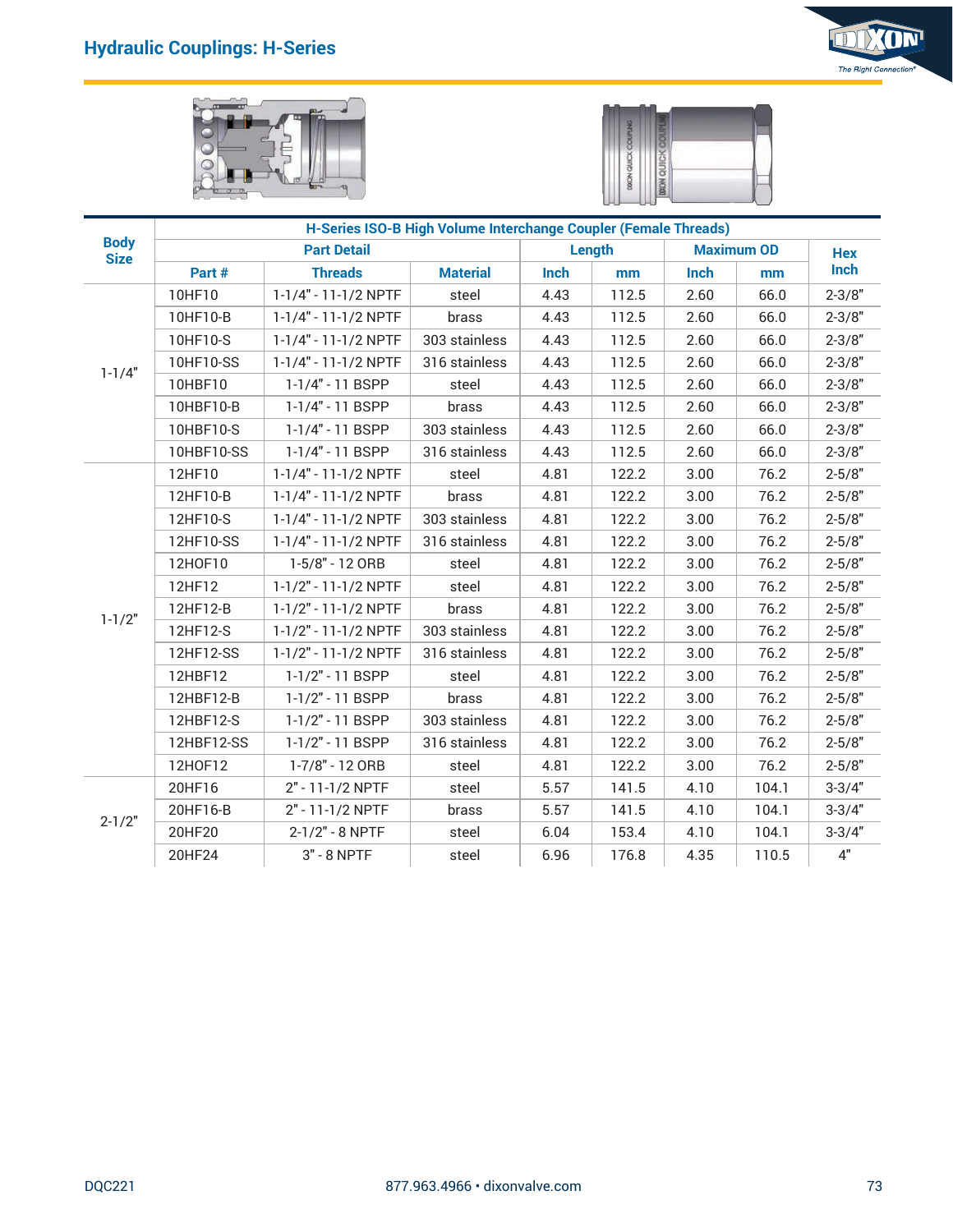





|             |                       |                                              |                                                                 |              | <b>DOON QU</b> |              |                         |                          |
|-------------|-----------------------|----------------------------------------------|-----------------------------------------------------------------|--------------|----------------|--------------|-------------------------|--------------------------|
| <b>Body</b> |                       |                                              | H-Series ISO-B High Volume Interchange Coupler (Female Threads) |              |                |              |                         |                          |
| <b>Size</b> | Part #                | <b>Part Detail</b><br><b>Threads</b>         | <b>Material</b>                                                 | Inch         | Length<br>mm   | Inch         | <b>Maximum OD</b><br>mm | <b>Hex</b><br>Inch       |
|             | 10HF10                | 1-1/4" - 11-1/2 NPTF                         | steel                                                           | 4.43         | 112.5          | 2.60         | 66.0                    | $2 - 3/8"$               |
|             | 10HF10-B              | 1-1/4" - 11-1/2 NPTF                         | brass                                                           | 4.43         | 112.5          | 2.60         | 66.0                    | $2 - 3/8"$               |
|             | 10HF10-S              | 1-1/4" - 11-1/2 NPTF                         | 303 stainless                                                   | 4.43         | 112.5          | 2.60         | 66.0                    | $2 - 3/8"$               |
| $1 - 1/4"$  | 10HF10-SS             | 1-1/4" - 11-1/2 NPTF                         | 316 stainless                                                   | 4.43         | 112.5          | 2.60         | 66.0                    | $2 - 3/8"$               |
|             | 10HBF10               | 1-1/4" - 11 BSPP                             | steel                                                           | 4.43         | 112.5          | 2.60         | 66.0                    | $2 - 3/8"$               |
|             | 10HBF10-B             | 1-1/4" - 11 BSPP                             | brass                                                           | 4.43         | 112.5          | 2.60         | 66.0                    | $2 - 3/8"$               |
|             | 10HBF10-S             | 1-1/4" - 11 BSPP                             | 303 stainless                                                   | 4.43         | 112.5          | 2.60         | 66.0                    | $2 - 3/8"$               |
|             | 10HBF10-SS            | 1-1/4" - 11 BSPP                             | 316 stainless                                                   | 4.43         | 112.5          | 2.60         | 66.0                    | $2 - 3/8"$               |
|             | 12HF10                | 1-1/4" - 11-1/2 NPTF                         | steel                                                           | 4.81         | 122.2          | 3.00         | 76.2                    | $2 - 5/8"$               |
|             | 12HF10-B              | 1-1/4" - 11-1/2 NPTF                         | brass                                                           | 4.81         | 122.2          | 3.00         | 76.2                    | $2 - 5/8"$               |
|             | 12HF10-S<br>12HF10-SS | 1-1/4" - 11-1/2 NPTF<br>1-1/4" - 11-1/2 NPTF | 303 stainless<br>316 stainless                                  | 4.81<br>4.81 | 122.2<br>122.2 | 3.00<br>3.00 | 76.2<br>76.2            | $2 - 5/8"$<br>$2 - 5/8"$ |
|             | 12H0F10               | 1-5/8" - 12 ORB                              | steel                                                           | 4.81         | 122.2          | 3.00         | 76.2                    | $2 - 5/8"$               |
|             | 12HF12                | 1-1/2" - 11-1/2 NPTF                         | steel                                                           | 4.81         | 122.2          | 3.00         | 76.2                    | $2 - 5/8"$               |
|             | 12HF12-B              | 1-1/2" - 11-1/2 NPTF                         | brass                                                           | 4.81         | 122.2          | 3.00         | 76.2                    | $2 - 5/8"$               |
| $1 - 1/2"$  | 12HF12-S              | 1-1/2" - 11-1/2 NPTF                         | 303 stainless                                                   | 4.81         | 122.2          | 3.00         | 76.2                    | $2 - 5/8"$               |
|             | 12HF12-SS             | 1-1/2" - 11-1/2 NPTF                         | 316 stainless                                                   | 4.81         | 122.2          | 3.00         | 76.2                    | $2 - 5/8"$               |
|             | 12HBF12               | 1-1/2" - 11 BSPP                             | steel                                                           | 4.81         | 122.2          | 3.00         | 76.2                    | $2 - 5/8"$               |
|             | 12HBF12-B             | 1-1/2" - 11 BSPP                             | brass                                                           | 4.81         | 122.2          | 3.00         | 76.2                    | $2 - 5/8"$               |
|             | 12HBF12-S             | 1-1/2" - 11 BSPP                             | 303 stainless                                                   | 4.81         | 122.2          | 3.00         | 76.2                    | $2 - 5/8"$               |
|             | 12HBF12-SS            | 1-1/2" - 11 BSPP                             | 316 stainless                                                   | 4.81         | 122.2          | 3.00         | 76.2                    | $2 - 5/8"$               |
|             | 12H0F12               | 1-7/8" - 12 ORB                              | steel                                                           | 4.81         | 122.2          | 3.00         | 76.2                    | $2 - 5/8"$               |
|             | 20HF16                | 2" - 11-1/2 NPTF                             | steel                                                           | 5.57         | 141.5          | 4.10         | 104.1                   | $3 - 3/4"$               |
| $2 - 1/2"$  | 20HF16-B              | 2" - 11-1/2 NPTF                             | brass                                                           | 5.57         | 141.5          | 4.10         | 104.1                   | $3 - 3/4"$               |
|             | 20HF20                | 2-1/2" - 8 NPTF                              | steel                                                           | 6.04         | 153.4          | 4.10         | 104.1                   | $3 - 3/4"$               |
|             | 20HF24                | $3" - 8$ NPTF                                | steel                                                           | 6.96         | 176.8          | 4.35         | 110.5                   | $4"$                     |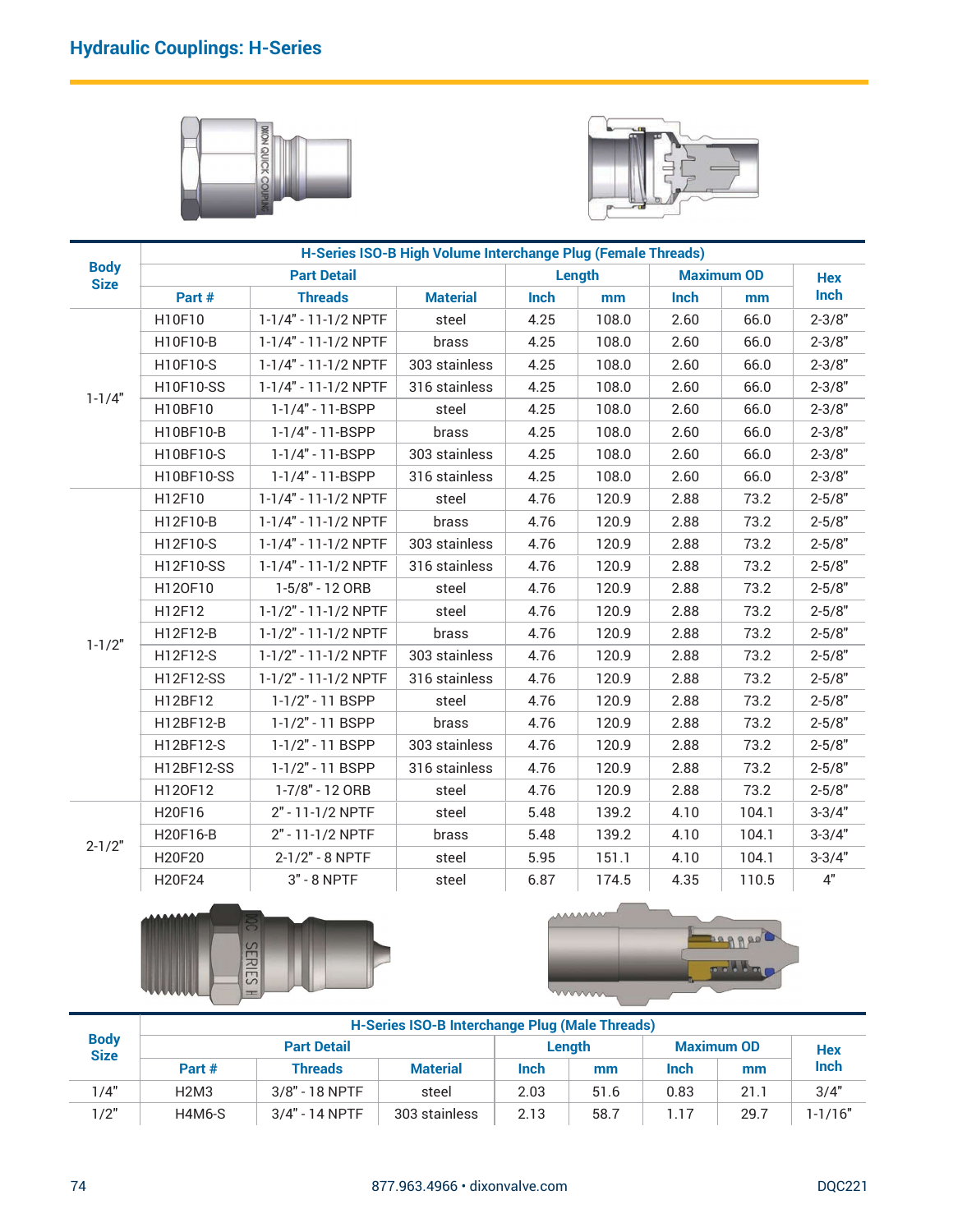



| Part #<br>H10F10<br>H10F10-B<br>H10F10-S<br>H10F10-SS<br>H10BF10<br>H10BF10-B<br>H10BF10-S<br>H10BF10-SS<br>H12F10<br>H12F10-B<br>H12F10-S<br>H12F10-SS | <b>Part Detail</b><br><b>Threads</b><br>1-1/4" - 11-1/2 NPTF<br>1-1/4" - 11-1/2 NPTF<br>1-1/4" - 11-1/2 NPTF<br>1-1/4" - 11-1/2 NPTF<br>1-1/4" - 11-BSPP<br>1-1/4" - 11-BSPP<br>1-1/4" - 11-BSPP<br>1-1/4" - 11-BSPP<br>1-1/4" - 11-1/2 NPTF<br>1-1/4" - 11-1/2 NPTF<br>1-1/4" - 11-1/2 NPTF | H-Series ISO-B High Volume Interchange Plug (Female Threads)<br><b>Material</b><br>steel<br>brass<br>303 stainless<br>316 stainless<br>steel<br>brass<br>303 stainless<br>316 stainless<br>steel<br>brass<br>303 stainless | Inch<br>4.25<br>4.25<br>4.25<br>4.25<br>4.25<br>4.25<br>4.25<br>4.25<br>4.76<br>4.76 | Length<br>mm<br>108.0<br>108.0<br>108.0<br>108.0<br>108.0<br>108.0<br>108.0<br>108.0<br>120.9 | Inch<br>2.60<br>2.60<br>2.60<br>2.60<br>2.60<br>2.60<br>2.60<br>2.60                     | <b>Maximum OD</b><br>mm<br>66.0<br>66.0<br>66.0<br>66.0<br>66.0<br>66.0<br>66.0 | <b>Hex</b><br>Inch<br>$2 - 3/8"$<br>$2 - 3/8"$<br>$2 - 3/8"$<br>$2 - 3/8"$<br>$2 - 3/8"$ |
|---------------------------------------------------------------------------------------------------------------------------------------------------------|----------------------------------------------------------------------------------------------------------------------------------------------------------------------------------------------------------------------------------------------------------------------------------------------|----------------------------------------------------------------------------------------------------------------------------------------------------------------------------------------------------------------------------|--------------------------------------------------------------------------------------|-----------------------------------------------------------------------------------------------|------------------------------------------------------------------------------------------|---------------------------------------------------------------------------------|------------------------------------------------------------------------------------------|
|                                                                                                                                                         |                                                                                                                                                                                                                                                                                              |                                                                                                                                                                                                                            |                                                                                      |                                                                                               |                                                                                          |                                                                                 |                                                                                          |
|                                                                                                                                                         |                                                                                                                                                                                                                                                                                              |                                                                                                                                                                                                                            |                                                                                      |                                                                                               |                                                                                          |                                                                                 |                                                                                          |
|                                                                                                                                                         |                                                                                                                                                                                                                                                                                              |                                                                                                                                                                                                                            |                                                                                      |                                                                                               |                                                                                          |                                                                                 |                                                                                          |
|                                                                                                                                                         |                                                                                                                                                                                                                                                                                              |                                                                                                                                                                                                                            |                                                                                      |                                                                                               |                                                                                          |                                                                                 |                                                                                          |
|                                                                                                                                                         |                                                                                                                                                                                                                                                                                              |                                                                                                                                                                                                                            |                                                                                      |                                                                                               |                                                                                          |                                                                                 |                                                                                          |
|                                                                                                                                                         |                                                                                                                                                                                                                                                                                              |                                                                                                                                                                                                                            |                                                                                      |                                                                                               |                                                                                          |                                                                                 |                                                                                          |
|                                                                                                                                                         |                                                                                                                                                                                                                                                                                              |                                                                                                                                                                                                                            |                                                                                      |                                                                                               |                                                                                          |                                                                                 |                                                                                          |
|                                                                                                                                                         |                                                                                                                                                                                                                                                                                              |                                                                                                                                                                                                                            |                                                                                      |                                                                                               |                                                                                          |                                                                                 |                                                                                          |
|                                                                                                                                                         |                                                                                                                                                                                                                                                                                              |                                                                                                                                                                                                                            |                                                                                      |                                                                                               |                                                                                          |                                                                                 | $2 - 3/8"$                                                                               |
|                                                                                                                                                         |                                                                                                                                                                                                                                                                                              |                                                                                                                                                                                                                            |                                                                                      |                                                                                               |                                                                                          |                                                                                 | $2 - 3/8"$                                                                               |
|                                                                                                                                                         |                                                                                                                                                                                                                                                                                              |                                                                                                                                                                                                                            |                                                                                      |                                                                                               |                                                                                          | 66.0                                                                            | $2 - 3/8"$                                                                               |
|                                                                                                                                                         |                                                                                                                                                                                                                                                                                              |                                                                                                                                                                                                                            |                                                                                      |                                                                                               | 2.88                                                                                     | 73.2                                                                            | $2 - 5/8"$                                                                               |
|                                                                                                                                                         |                                                                                                                                                                                                                                                                                              |                                                                                                                                                                                                                            |                                                                                      | 120.9                                                                                         | 2.88                                                                                     | 73.2                                                                            | $2 - 5/8"$                                                                               |
|                                                                                                                                                         |                                                                                                                                                                                                                                                                                              |                                                                                                                                                                                                                            | 4.76                                                                                 | 120.9                                                                                         | 2.88                                                                                     | 73.2                                                                            | $2 - 5/8"$                                                                               |
|                                                                                                                                                         | 1-1/4" - 11-1/2 NPTF                                                                                                                                                                                                                                                                         | 316 stainless                                                                                                                                                                                                              | 4.76                                                                                 | 120.9                                                                                         | 2.88                                                                                     | 73.2                                                                            | $2 - 5/8"$                                                                               |
| H120F10                                                                                                                                                 | 1-5/8" - 12 ORB                                                                                                                                                                                                                                                                              | steel                                                                                                                                                                                                                      | 4.76                                                                                 | 120.9                                                                                         | 2.88                                                                                     | 73.2                                                                            | $2 - 5/8"$                                                                               |
| H12F12                                                                                                                                                  | 1-1/2" - 11-1/2 NPTF                                                                                                                                                                                                                                                                         | steel                                                                                                                                                                                                                      | 4.76                                                                                 | 120.9                                                                                         | 2.88                                                                                     | 73.2                                                                            | $2 - 5/8"$                                                                               |
| H12F12-B                                                                                                                                                | 1-1/2" - 11-1/2 NPTF                                                                                                                                                                                                                                                                         | brass                                                                                                                                                                                                                      | 4.76                                                                                 | 120.9                                                                                         | 2.88                                                                                     | 73.2                                                                            | $2 - 5/8"$                                                                               |
|                                                                                                                                                         |                                                                                                                                                                                                                                                                                              |                                                                                                                                                                                                                            |                                                                                      | 120.9                                                                                         | 2.88                                                                                     | 73.2                                                                            | $2 - 5/8"$                                                                               |
| H12F12-SS                                                                                                                                               | 1-1/2" - 11-1/2 NPTF                                                                                                                                                                                                                                                                         | 316 stainless                                                                                                                                                                                                              | 4.76                                                                                 | 120.9                                                                                         | 2.88                                                                                     | 73.2                                                                            | $2 - 5/8"$                                                                               |
|                                                                                                                                                         | 1-1/2" - 11 BSPP                                                                                                                                                                                                                                                                             | steel                                                                                                                                                                                                                      | 4.76                                                                                 | 120.9                                                                                         | 2.88                                                                                     | 73.2                                                                            | $2 - 5/8"$                                                                               |
| H12BF12-B                                                                                                                                               | 1-1/2" - 11 BSPP                                                                                                                                                                                                                                                                             | brass                                                                                                                                                                                                                      | 4.76                                                                                 | 120.9                                                                                         | 2.88                                                                                     | 73.2                                                                            | $2 - 5/8"$                                                                               |
| H12BF12-S                                                                                                                                               |                                                                                                                                                                                                                                                                                              |                                                                                                                                                                                                                            |                                                                                      | 120.9                                                                                         | 2.88                                                                                     |                                                                                 | $2 - 5/8"$                                                                               |
|                                                                                                                                                         |                                                                                                                                                                                                                                                                                              | 316 stainless                                                                                                                                                                                                              |                                                                                      | 120.9                                                                                         | 2.88                                                                                     |                                                                                 | $2 - 5/8"$                                                                               |
|                                                                                                                                                         | 1-7/8" - 12 ORB                                                                                                                                                                                                                                                                              | steel                                                                                                                                                                                                                      | 4.76                                                                                 | 120.9                                                                                         | 2.88                                                                                     |                                                                                 | $2 - 5/8"$                                                                               |
|                                                                                                                                                         | 2" - 11-1/2 NPTF                                                                                                                                                                                                                                                                             | steel                                                                                                                                                                                                                      | 5.48                                                                                 | 139.2                                                                                         | 4.10                                                                                     | 104.1                                                                           | $3 - 3/4"$                                                                               |
|                                                                                                                                                         | 2" - 11-1/2 NPTF                                                                                                                                                                                                                                                                             | brass                                                                                                                                                                                                                      |                                                                                      |                                                                                               | 4.10                                                                                     | 104.1                                                                           | $3 - 3/4"$                                                                               |
| H20F20                                                                                                                                                  | 2-1/2" - 8 NPTF                                                                                                                                                                                                                                                                              | steel                                                                                                                                                                                                                      | 5.95                                                                                 | 151.1                                                                                         | 4.10                                                                                     | 104.1                                                                           | $3 - 3/4"$                                                                               |
| H20F24                                                                                                                                                  | $3" - 8$ NPTF                                                                                                                                                                                                                                                                                | steel                                                                                                                                                                                                                      | 6.87                                                                                 | 174.5                                                                                         | 4.35                                                                                     | 110.5                                                                           | $4"$                                                                                     |
|                                                                                                                                                         |                                                                                                                                                                                                                                                                                              |                                                                                                                                                                                                                            |                                                                                      |                                                                                               |                                                                                          |                                                                                 |                                                                                          |
|                                                                                                                                                         |                                                                                                                                                                                                                                                                                              |                                                                                                                                                                                                                            |                                                                                      |                                                                                               |                                                                                          |                                                                                 |                                                                                          |
|                                                                                                                                                         |                                                                                                                                                                                                                                                                                              |                                                                                                                                                                                                                            |                                                                                      |                                                                                               |                                                                                          |                                                                                 | <b>Hex</b>                                                                               |
|                                                                                                                                                         |                                                                                                                                                                                                                                                                                              |                                                                                                                                                                                                                            |                                                                                      | mm                                                                                            |                                                                                          | mm                                                                              | Inch                                                                                     |
|                                                                                                                                                         |                                                                                                                                                                                                                                                                                              |                                                                                                                                                                                                                            |                                                                                      |                                                                                               |                                                                                          |                                                                                 | 3/4"<br>$1 - 1/16"$                                                                      |
|                                                                                                                                                         | H12F12-S<br>H12BF12<br>H12BF12-SS<br>H120F12<br>H20F16<br>H20F16-B<br>Part #<br>H <sub>2</sub> M <sub>3</sub><br><b>H4M6-S</b>                                                                                                                                                               | 1-1/2" - 11-1/2 NPTF<br>1-1/2" - 11 BSPP<br>1-1/2" - 11 BSPP<br><b>SERIES</b><br>$=$<br><b>Part Detail</b><br><b>Threads</b><br>3/8" - 18 NPTF<br>3/4" - 14 NPTF                                                           | 303 stainless<br>303 stainless<br><b>Material</b><br>steel<br>303 stainless          | 4.76<br>4.76<br>4.76<br>5.48<br>Inch<br>2.03<br>2.13                                          | 139.2<br><b>AAAAAA</b><br>mmm<br>Length<br>51.6<br>58.7<br>877.963.4966 · dixonvalve.com | <b>H-Series ISO-B Interchange Plug (Male Threads)</b><br>Inch<br>0.83<br>1.17   | 73.2<br>73.2<br>73.2<br><b>Bannes</b><br>pribling<br><b>Maximum OD</b><br>21.1<br>29.7   |





|                            | H120F12                       | 1-7/8" - 12 ORB      | steel                                                 | 4.76   | 120.9                 | 2.88              | 73.2                     | $2 - 5/8$     |
|----------------------------|-------------------------------|----------------------|-------------------------------------------------------|--------|-----------------------|-------------------|--------------------------|---------------|
|                            | H20F16                        | 2" - 11-1/2 NPTF     | steel                                                 | 5.48   | 139.2                 | 4.10              | 104.1                    | $3 - 3/4"$    |
|                            | H20F16-B                      | 2" - 11-1/2 NPTF     | brass                                                 | 5.48   | 139.2                 | 4.10              | 104.1                    | $3 - 3/4"$    |
| $2 - 1/2"$                 | H20F20                        | 2-1/2" - 8 NPTF      | steel                                                 | 5.95   | 151.1                 | 4.10              | 104.1                    | $3 - 3/4"$    |
|                            | H20F24                        | $3" - 8$ NPTF        | steel                                                 | 6.87   | 174.5                 | 4.35              | 110.5                    | 4"            |
|                            | AAAAAAA                       | <b>SERIES</b><br>$=$ |                                                       |        | <b>AAAAAAA</b><br>mmm |                   | <b>Bagged</b><br>polling |               |
|                            |                               |                      | <b>H-Series ISO-B Interchange Plug (Male Threads)</b> |        |                       |                   |                          |               |
| <b>Body</b><br><b>Size</b> |                               | <b>Part Detail</b>   |                                                       | Length |                       | <b>Maximum OD</b> | <b>Hex</b>               |               |
|                            | Part #                        | <b>Threads</b>       | <b>Material</b>                                       | Inch   | mm                    | <b>Inch</b>       | mm                       | Inch          |
| 1/4"                       | H <sub>2</sub> M <sub>3</sub> | 3/8" - 18 NPTF       | steel                                                 | 2.03   | 51.6                  | 0.83              | 21.1                     | 3/4"          |
| 1/2"                       | H4M6-S                        | 3/4" - 14 NPTF       | 303 stainless                                         | 2.13   | 58.7                  | 1.17              | 29.7                     | $1 - 1/16"$   |
|                            |                               |                      | 877.963.4966 · dixonvalve.com                         |        |                       |                   |                          | <b>DQC221</b> |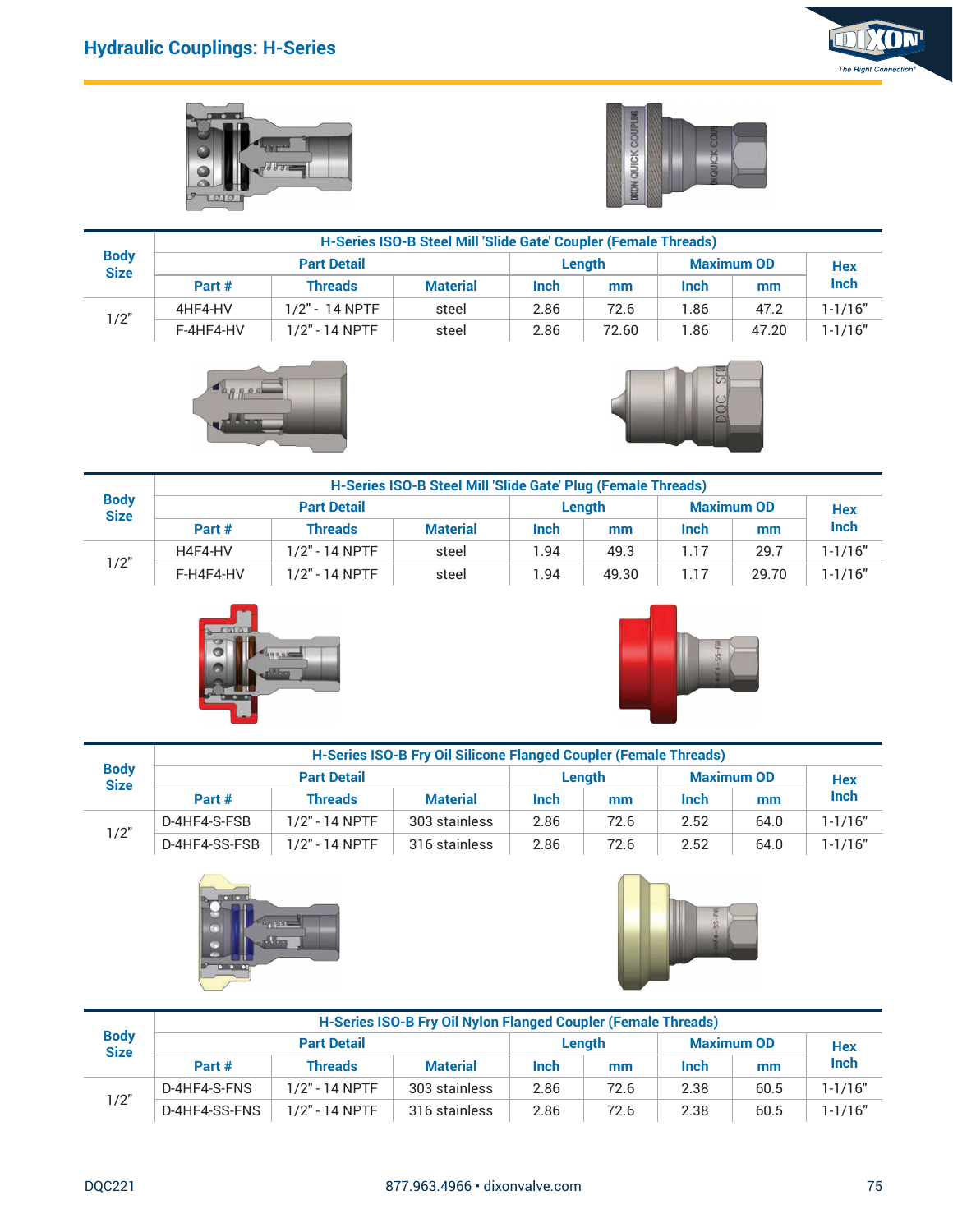í.







|                            | <b>Hydraulic Couplings: H-Series</b> |                    |                                                                 |      |                    |                    |                    | KON<br>The Right Connection® |
|----------------------------|--------------------------------------|--------------------|-----------------------------------------------------------------|------|--------------------|--------------------|--------------------|------------------------------|
|                            |                                      | 9800               |                                                                 |      | <b>ON QUICK CO</b> |                    |                    |                              |
|                            |                                      |                    | H-Series ISO-B Steel Mill 'Slide Gate' Coupler (Female Threads) |      |                    |                    |                    |                              |
| <b>Body</b><br><b>Size</b> |                                      | <b>Part Detail</b> |                                                                 |      | Length             |                    | <b>Maximum OD</b>  | Hex                          |
|                            | Part #                               | <b>Threads</b>     | <b>Material</b>                                                 | Inch | mm                 | Inch               | mm                 | Inch                         |
| 1/2"                       | 4HF4-HV                              | 1/2" - 14 NPTF     | steel                                                           | 2.86 | 72.6               | 1.86               | 47.2               | $1 - 1/16"$                  |
|                            | F-4HF4-HV                            | 1/2" - 14 NPTF     | steel                                                           | 2.86 | 72.60              | 1.86<br>SER<br>pac | 47.20              | $1 - 1/16"$                  |
|                            |                                      |                    | H-Series ISO-B Steel Mill 'Slide Gate' Plug (Female Threads)    |      |                    |                    |                    |                              |
| <b>Body</b><br><b>Size</b> |                                      | <b>Part Detail</b> |                                                                 |      | Length             |                    | <b>Maximum OD</b>  | Hex                          |
|                            | Part #                               | <b>Threads</b>     | <b>Material</b>                                                 | Inch | mm                 | Inch               | mm                 | Inch                         |
|                            | H4F4-HV                              | 1/2" - 14 NPTF     | steel                                                           | 1.94 | 49.3               | 1.17               | 29.7               | $1 - 1/16"$                  |
| 1/2"                       | F-H4F4-HV                            | $1/2" - 14 NPTF$   | steel                                                           | 1.94 | 49.30              | $\overline{1.17}$  | $\overline{29.70}$ | $1-1/16"$                    |





| <b>Body</b> |              |                    | H-Series ISO-B Steel Mill 'Slide Gate' Plug (Female Threads)     |      |        |      |                   |             |
|-------------|--------------|--------------------|------------------------------------------------------------------|------|--------|------|-------------------|-------------|
| <b>Size</b> |              | <b>Part Detail</b> |                                                                  |      | Length |      | <b>Maximum OD</b> | <b>Hex</b>  |
|             | Part #       | <b>Threads</b>     | <b>Material</b>                                                  | Inch | mm     | Inch | mm                | Inch        |
| 1/2"        | H4F4-HV      | $1/2" - 14$ NPTF   | steel                                                            | 1.94 | 49.3   | 1.17 | 29.7              | $1 - 1/16"$ |
|             | F-H4F4-HV    | 1/2" - 14 NPTF     | steel                                                            | 1.94 | 49.30  | 1.17 | 29.70             | $1 - 1/16"$ |
|             |              | G COMM             |                                                                  |      |        |      |                   |             |
|             |              |                    | H-Series ISO-B Fry Oil Silicone Flanged Coupler (Female Threads) |      |        |      |                   |             |
| <b>Body</b> |              | <b>Part Detail</b> |                                                                  |      | Length |      | <b>Maximum OD</b> | <b>Hex</b>  |
| <b>Size</b> | Part #       | <b>Threads</b>     | <b>Material</b>                                                  | Inch | mm     | Inch | mm                | Inch        |
| 1/2"        | D-4HF4-S-FSB | 1/2" - 14 NPTF     | 303 stainless                                                    | 2.86 | 72.6   | 2.52 | 64.0              | $1 - 1/16"$ |





|                            |               |                    | H-Series ISO-B Fry Oil Silicone Flanged Coupler (Female Threads) |             |        |             |                   |             |
|----------------------------|---------------|--------------------|------------------------------------------------------------------|-------------|--------|-------------|-------------------|-------------|
| <b>Body</b><br><b>Size</b> |               | <b>Part Detail</b> |                                                                  |             | Lenath |             | <b>Maximum OD</b> | <b>Hex</b>  |
|                            | Part #        | <b>Threads</b>     | <b>Material</b>                                                  | <b>Inch</b> | mm     | <b>Inch</b> | mm                | Inch        |
|                            | D-4HF4-S-FSB  | $1/2" - 14$ NPTF   | 303 stainless                                                    | 2.86        | 72.6   | 2.52        | 64.0              | $1 - 1/16"$ |
| 1/2"                       | D-4HF4-SS-FSB | $1/2" - 14$ NPTF   | 316 stainless                                                    | 2.86        | 72.6   | 2.52        | 64.0              | $1 - 1/16"$ |





|                            |               | 9.9.900                              | H-Series ISO-B Fry Oil Silicone Flanged Coupler (Female Threads) |      |              |      |                         |                    |
|----------------------------|---------------|--------------------------------------|------------------------------------------------------------------|------|--------------|------|-------------------------|--------------------|
| <b>Body</b><br><b>Size</b> |               | <b>Part Detail</b>                   |                                                                  |      | Length       |      | <b>Maximum OD</b>       | <b>Hex</b>         |
|                            | Part#         | <b>Threads</b>                       | <b>Material</b>                                                  | Inch | mm           | Inch | mm                      | Inch               |
|                            | D-4HF4-S-FSB  | 1/2" - 14 NPTF                       | 303 stainless                                                    | 2.86 | 72.6         | 2.52 | 64.0                    | $1 - 1/16"$        |
| 1/2"                       | D-4HF4-SS-FSB | 1/2" - 14 NPTF                       | 316 stainless                                                    | 2.86 | 72.6         | 2.52 | 64.0                    | $1 - 1/16"$        |
|                            |               |                                      |                                                                  |      |              |      |                         |                    |
|                            |               |                                      |                                                                  |      |              |      |                         |                    |
| <b>Body</b>                |               |                                      | H-Series ISO-B Fry Oil Nylon Flanged Coupler (Female Threads)    |      |              |      |                         |                    |
| <b>Size</b>                | Part#         | <b>Part Detail</b><br><b>Threads</b> | <b>Material</b>                                                  | Inch | Length<br>mm | Inch | <b>Maximum OD</b><br>mm | <b>Hex</b><br>Inch |
|                            | D-4HF4-S-FNS  | 1/2" - 14 NPTF                       | 303 stainless                                                    | 2.86 | 72.6         | 2.38 | 60.5                    | $1 - 1/16"$        |
| 1/2"                       | D-4HF4-SS-FNS | 1/2" - 14 NPTF                       | 316 stainless                                                    | 2.86 | 72.6         | 2.38 | 60.5                    | $1 - 1/16"$        |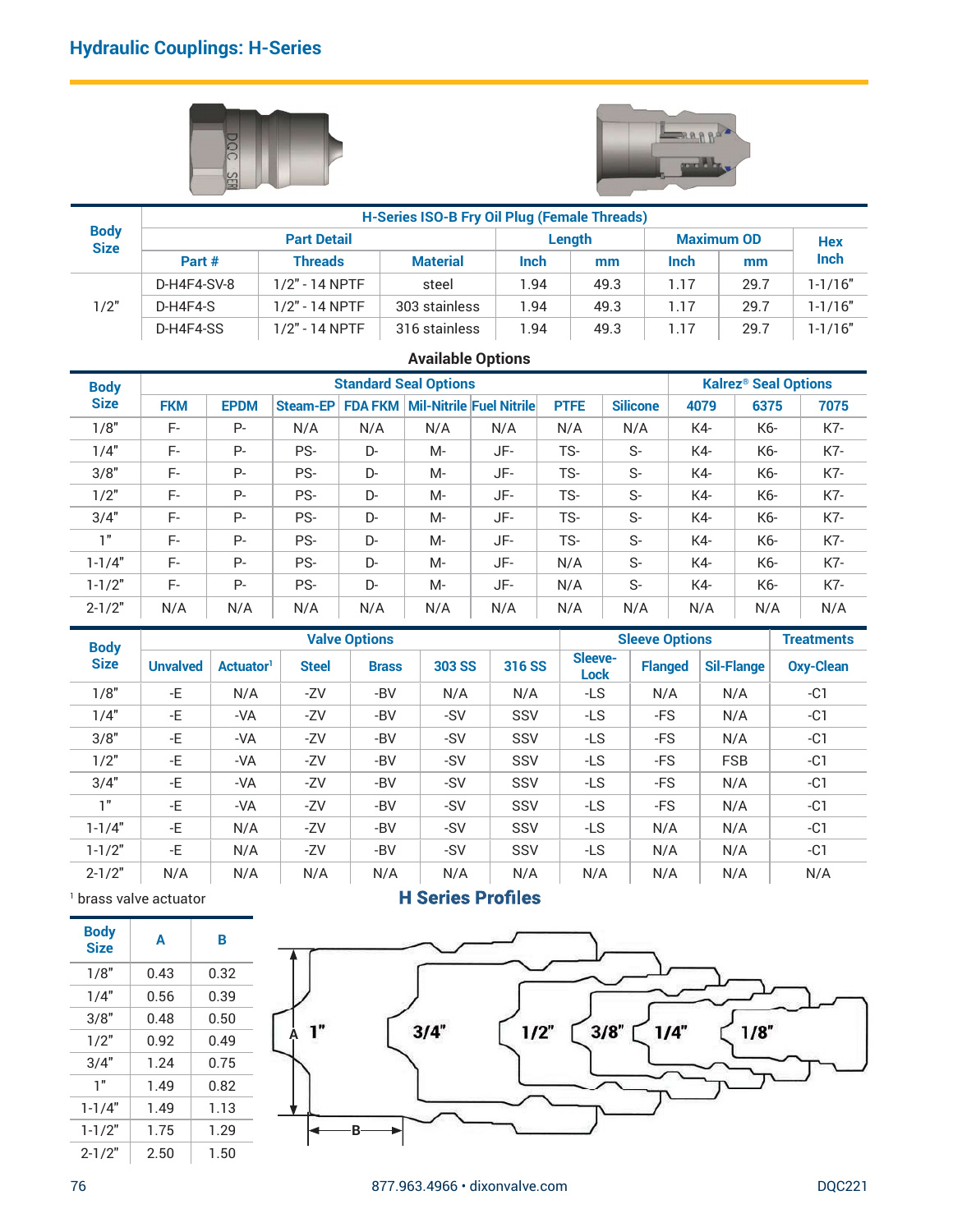



|                            | <b>Hydraulic Couplings: H-Series</b> |             |                    |     |                                                     |      |             |                 |                   |                                        |             |
|----------------------------|--------------------------------------|-------------|--------------------|-----|-----------------------------------------------------|------|-------------|-----------------|-------------------|----------------------------------------|-------------|
|                            |                                      |             |                    |     |                                                     |      |             |                 |                   |                                        |             |
|                            |                                      |             |                    |     |                                                     |      |             |                 |                   |                                        |             |
|                            |                                      | DOC         |                    |     |                                                     |      |             |                 |                   |                                        |             |
|                            |                                      |             |                    |     |                                                     |      |             |                 | trur Bib          |                                        |             |
|                            |                                      |             |                    |     | <b>H-Series ISO-B Fry Oil Plug (Female Threads)</b> |      |             |                 |                   |                                        |             |
| <b>Body</b><br><b>Size</b> |                                      |             | <b>Part Detail</b> |     |                                                     |      | Length      |                 | <b>Maximum OD</b> |                                        | <b>Hex</b>  |
|                            | Part #                               |             | <b>Threads</b>     |     | <b>Material</b>                                     | Inch |             | mm              | Inch              | mm                                     | Inch        |
|                            | D-H4F4-SV-8                          |             | 1/2" - 14 NPTF     |     | steel                                               | 1.94 |             | 49.3            | 1.17              | 29.7                                   | $1 - 1/16"$ |
| 1/2"                       | D-H4F4-S                             |             | 1/2" - 14 NPTF     |     | 303 stainless                                       | 1.94 |             | 49.3            | 1.17              | 29.7                                   | $1 - 1/16"$ |
|                            | D-H4F4-SS                            |             | 1/2" - 14 NPTF     |     | 316 stainless                                       | 1.94 |             | 49.3            | 1.17              | 29.7                                   | $1 - 1/16"$ |
|                            |                                      |             |                    |     | <b>Available Options</b>                            |      |             |                 |                   |                                        |             |
| <b>Body</b>                |                                      |             |                    |     | <b>Standard Seal Options</b>                        |      |             |                 |                   | <b>Kalrez<sup>®</sup> Seal Options</b> |             |
| <b>Size</b>                | <b>FKM</b>                           | <b>EPDM</b> |                    |     | Steam-EP FDA FKM Mil-Nitrile Fuel Nitrile           |      | <b>PTFE</b> | <b>Silicone</b> | 4079              | 6375                                   | 7075        |
| 1/8"                       | F-                                   | $P-$        | N/A                | N/A | N/A                                                 | N/A  | N/A         | N/A             | K4-               | K6-                                    | K7-         |
|                            |                                      | $P -$       | PS-                | D-  | $M -$                                               | JF-  | TS-         |                 |                   |                                        |             |
| 1/4"                       | F-                                   |             |                    |     |                                                     |      |             | $S-$            | K4-               | K6-                                    | K7-         |

# Available Options

|             | <b>Hydraulic Couplings: H-Series</b> |                       |                    |                      |                                                     |        |                        |                       |                |                                        |                   |
|-------------|--------------------------------------|-----------------------|--------------------|----------------------|-----------------------------------------------------|--------|------------------------|-----------------------|----------------|----------------------------------------|-------------------|
|             |                                      | DQC                   |                    |                      |                                                     |        |                        |                       | trur P.P       |                                        |                   |
| <b>Body</b> |                                      |                       |                    |                      | <b>H-Series ISO-B Fry Oil Plug (Female Threads)</b> |        |                        |                       |                |                                        |                   |
| <b>Size</b> |                                      |                       | <b>Part Detail</b> |                      |                                                     |        | Length                 |                       |                | <b>Maximum OD</b>                      | <b>Hex</b>        |
|             | Part #                               |                       | <b>Threads</b>     |                      | <b>Material</b>                                     | Inch   | mm                     |                       | Inch           | mm                                     | Inch              |
|             | D-H4F4-SV-8                          |                       | 1/2" - 14 NPTF     |                      | steel                                               | 1.94   | 49.3                   |                       | 1.17           | 29.7                                   | $1 - 1/16"$       |
| 1/2"        | D-H4F4-S                             |                       | 1/2" - 14 NPTF     |                      | 303 stainless                                       | 1.94   | 49.3                   |                       | 1.17           | 29.7                                   | $1 - 1/16"$       |
|             | D-H4F4-SS                            |                       | 1/2" - 14 NPTF     |                      | 316 stainless                                       | 1.94   | 49.3                   |                       | 1.17           | 29.7                                   | $1 - 1/16"$       |
|             |                                      |                       |                    |                      | <b>Available Options</b>                            |        |                        |                       |                |                                        |                   |
| <b>Body</b> |                                      |                       |                    |                      | <b>Standard Seal Options</b>                        |        |                        |                       |                | <b>Kalrez<sup>®</sup> Seal Options</b> |                   |
| <b>Size</b> | <b>FKM</b>                           | <b>EPDM</b>           |                    |                      | Steam-EP FDA FKM Mil-Nitrile Fuel Nitrile           |        | <b>PTFE</b>            | <b>Silicone</b>       | 4079           | 6375                                   | 7075              |
| 1/8"        | F-                                   | $P -$                 | N/A                | N/A                  | N/A                                                 | N/A    | N/A                    | N/A                   | K4-            | K6-                                    | K7-               |
| 1/4"        | F-                                   | P-                    | PS-                | D-                   | $M -$                                               | JF-    | TS-                    | $S-$                  | K4-            | K6-                                    | K7-               |
| 3/8"        | F-                                   | $P -$                 | PS-                | D-                   | $M -$                                               | JF-    | TS-                    | $S-$                  | K4-            | K6-                                    | K7-               |
| 1/2"        | F-                                   | $P -$                 | PS-                | D-                   | $M -$                                               | JF-    | TS-                    | $S-$                  | K4-            | K6-                                    | K7-               |
| 3/4"        | F-                                   | $P -$                 | PS-                | D-                   | $M -$                                               | JF-    | TS-                    | $S-$                  | K4-            | K6-                                    | K7-               |
| 1"          | $F-$                                 | $P -$                 | PS-                | D-                   | $M -$                                               | JF-    | TS-                    | $S-$                  | K4-            | K6-                                    | K7-               |
| $1 - 1/4"$  | $F-$                                 | P-                    | PS-                | D-                   | $M -$                                               | JF-    | N/A                    | $S-$                  | K4-            | K6-                                    | K7-               |
| $1 - 1/2"$  | F-                                   | $P -$                 | PS-                | D-                   | $M -$                                               | JF-    | N/A                    | $S-$                  | K4-            | K6-                                    | K7-               |
| $2 - 1/2"$  | N/A                                  | N/A                   | N/A                | N/A                  | N/A                                                 | N/A    | N/A                    | N/A                   | N/A            | N/A                                    | N/A               |
| <b>Body</b> |                                      |                       |                    | <b>Valve Options</b> |                                                     |        |                        | <b>Sleeve Options</b> |                |                                        | <b>Treatments</b> |
| <b>Size</b> | <b>Unvalved</b>                      | Actuator <sup>1</sup> | <b>Steel</b>       | <b>Brass</b>         | <b>303 SS</b>                                       | 316 SS | Sleeve-<br><b>Lock</b> |                       | <b>Flanged</b> | <b>Sil-Flange</b>                      | <b>Oxy-Clean</b>  |
| 1/8"        | -E                                   | N/A                   | $-ZV$              | $-BV$                | N/A                                                 | N/A    | $-LS$                  | N/A                   |                | N/A                                    | $-C1$             |
| 1/4"        | -E                                   | $-VA$                 | $-ZV$              | $-BV$                | -SV                                                 | SSV    | $-LS$                  | $-FS$                 |                | N/A                                    | $-C1$             |
| 3/8"        | $\textnormal{-E}$                    | -VA                   | -ZV                | $-BV$                | $-SV$                                               | SSV    | $-LS$                  |                       | -FS            | N/A                                    | $-C1$             |
| 1/2"        | $\textnormal{-E}$                    | -VA                   | -ZV                | $-BV$                | -SV                                                 | SSV    | $-LS$                  |                       | -FS            | <b>FSB</b>                             | $-C1$             |
| 3/4"        | -E                                   | -VA                   | -ZV                | $-BV$                | $-SV$                                               | SSV    | $-LS$                  | $-FS$                 |                | N/A                                    | $-C1$             |
| 1"          | $\textnormal{-E}$                    | -VA                   | -ZV                | $-BV$                | $-SV$                                               | SSV    | $-LS$                  | -FS                   |                | N/A                                    | $-C1$             |
| $1 - 1/4"$  | $\textnormal{-} \mathsf{E}$          | N/A                   | $-ZV$              | $-BV$                | -SV                                                 | SSV    | $-LS$                  |                       | N/A            | N/A                                    | $-C1$             |
| $1 - 1/2"$  | $\textnormal{-} \mathsf{E}$          | N/A                   | -ZV                | $-BV$                | -SV                                                 | SSV    | $-LS$                  |                       | N/A            | N/A                                    | $-C1$             |
|             |                                      |                       |                    |                      |                                                     |        |                        |                       |                |                                        |                   |

| <b>Body</b>                |                      |                       |              |                      | Standard Seal Options                           |                               |                 |                       |      | Kairez <sup>o</sup> Seal Options |                   |
|----------------------------|----------------------|-----------------------|--------------|----------------------|-------------------------------------------------|-------------------------------|-----------------|-----------------------|------|----------------------------------|-------------------|
| <b>Size</b>                | <b>FKM</b>           | <b>EPDM</b>           |              |                      | Steam-EP   FDA FKM   Mil-Nitrile   Fuel Nitrile |                               | <b>PTFE</b>     | <b>Silicone</b>       | 4079 | 6375                             | 7075              |
| 1/8"                       | F-                   | $P -$                 | N/A          | N/A                  | N/A                                             | N/A                           | N/A             | N/A                   | K4-  | K6-                              | K7-               |
| 1/4"                       | F-                   | <b>P-</b>             | PS-          | D-                   | $M -$                                           | JF-                           | TS-             | $S-$                  | K4-  | K6-                              | K7-               |
| 3/8"                       | F-                   | <b>P-</b>             | PS-          | D-                   | $M -$                                           | JF-                           | TS-             | $S-$                  |      | K4-<br>K6-                       | K7-               |
| 1/2"                       | F-                   | $P -$                 | PS-          | D-                   | $M -$                                           | JF-                           | TS-             | $S-$                  | K4-  | K6-                              | K7-               |
| 3/4"                       | F-                   | $P-$                  | PS-          | D-                   | $M -$                                           | JF-                           | TS-             | $S-$                  | K4-  | K6-                              | K7-               |
| 1"                         | F-                   | <b>P-</b>             | PS-          | D-                   | $M -$                                           | JF-                           | TS-             | $S-$                  | K4-  | K6-                              | K7-               |
| $1 - 1/4"$                 | F-                   | $P -$                 | PS-          | D-                   | $M -$                                           | JF-                           | N/A             | $S-$                  | K4-  | K6-                              | K7-               |
| $1 - 1/2"$                 | F-                   | $P -$                 | PS-          | D-                   | $M -$                                           | JF-                           | N/A             | $S-$                  | K4-  | K6-                              | K7-               |
| $2 - 1/2"$                 | N/A                  | N/A                   | N/A          | N/A                  | N/A                                             | N/A                           | N/A             | N/A                   |      | N/A<br>N/A                       | N/A               |
| <b>Body</b>                |                      |                       |              | <b>Valve Options</b> |                                                 |                               |                 | <b>Sleeve Options</b> |      |                                  | <b>Treatments</b> |
| <b>Size</b>                | <b>Unvalved</b>      | Actuator <sup>1</sup> | <b>Steel</b> | <b>Brass</b>         | <b>303 SS</b>                                   | 316 SS                        | Sleeve-<br>Lock | <b>Flanged</b>        |      | <b>Sil-Flange</b>                | <b>Oxy-Clean</b>  |
| 1/8"                       | -E                   | N/A                   | $-ZV$        | -BV                  | N/A                                             | N/A                           | $-LS$           | N/A                   |      | N/A                              | $-C1$             |
| 1/4"                       | -E                   | $-VA$                 | $-ZV$        | $-BV$                | $-SV$                                           | SSV                           | $-LS$           | $-FS$                 |      | N/A                              | $-C1$             |
| 3/8"                       | -E                   | $-VA$                 | $-ZV$        | -BV                  | -SV                                             | SSV                           | $-LS$           | $-FS$                 |      | N/A                              | $-C1$             |
| 1/2"                       | -E                   | $-VA$                 | $-ZV$        | $-BV$                | $-SV$                                           | SSV                           | $-LS$           | $-FS$                 |      | FSB                              | $-C1$             |
| 3/4"                       | -E                   | $-VA$                 | $-ZV$        | -BV                  | -SV                                             | SSV                           | $-LS$           | $-FS$                 |      | N/A                              | $-C1$             |
| 1"                         | -E                   | $-VA$                 | -ZV          | -BV                  | $-SV$                                           | SSV                           | $-LS$           | $-FS$                 |      | N/A                              | $-C1$             |
| $1 - 1/4"$                 | -E                   | N/A                   | -ZV          | -BV                  | -SV                                             | SSV                           | $-LS$           | N/A                   |      | N/A                              | $-C1$             |
| $1 - 1/2"$                 | -E                   | N/A                   | $-ZV$        | -BV                  | -SV                                             | SSV                           | $-LS$           | N/A                   |      | N/A                              | $-C1$             |
| $2 - 1/2"$                 | N/A                  | N/A                   | N/A          | N/A                  | N/A                                             | N/A                           | N/A             | N/A                   |      | N/A                              | N/A               |
|                            | brass valve actuator |                       |              |                      |                                                 | <b>H Series Profiles</b>      |                 |                       |      |                                  |                   |
| <b>Body</b><br><b>Size</b> | A                    | B                     |              |                      |                                                 |                               |                 |                       |      |                                  |                   |
| 1/8"                       | 0.43                 | 0.32                  |              |                      |                                                 |                               |                 |                       |      |                                  |                   |
| 1/4"                       | 0.56                 | 0.39                  |              |                      |                                                 |                               |                 |                       |      |                                  |                   |
| 3/8"                       | 0.48                 | 0.50                  |              |                      |                                                 |                               |                 |                       |      |                                  |                   |
| 1/2"                       | 0.92                 | 0.49                  | 1"           |                      | 3/4"                                            | 1/2"                          |                 | 3/8"                  | 1/4" | 1/8"                             |                   |
| 3/4"                       | 1.24                 | 0.75                  |              |                      |                                                 |                               |                 |                       |      |                                  |                   |
| 1"                         | 1.49                 | 0.82                  |              |                      |                                                 |                               |                 |                       |      |                                  |                   |
| $1 - 1/4"$                 | 1.49                 | 1.13                  |              |                      |                                                 |                               |                 |                       |      |                                  |                   |
| $1 - 1/2"$                 | 1.75                 | 1.29                  |              |                      |                                                 |                               |                 |                       |      |                                  |                   |
| $2 - 1/2"$                 | 2.50                 | 1.50                  |              |                      |                                                 |                               |                 |                       |      |                                  |                   |
| 76                         |                      |                       |              |                      |                                                 | 877.963.4966 · dixonvalve.com |                 |                       |      |                                  | <b>DQC221</b>     |
|                            |                      |                       |              |                      |                                                 |                               |                 |                       |      |                                  |                   |

| <b>Body</b><br><b>Size</b> | A    | в    |
|----------------------------|------|------|
| 1/8"                       | 0.43 | 0.32 |
| 1/4"                       | 0.56 | 0.39 |
| 3/8"                       | 0.48 | 0.50 |
| 1/2"                       | 0.92 | 0.49 |
| 3/4"                       | 1.24 | 0.75 |
| 1"                         | 1.49 | 0.82 |
| $1 - 1/4"$                 | 1.49 | 1.13 |
| $1 - 1/2"$                 | 1.75 | 1.29 |
| - ^                        |      |      |

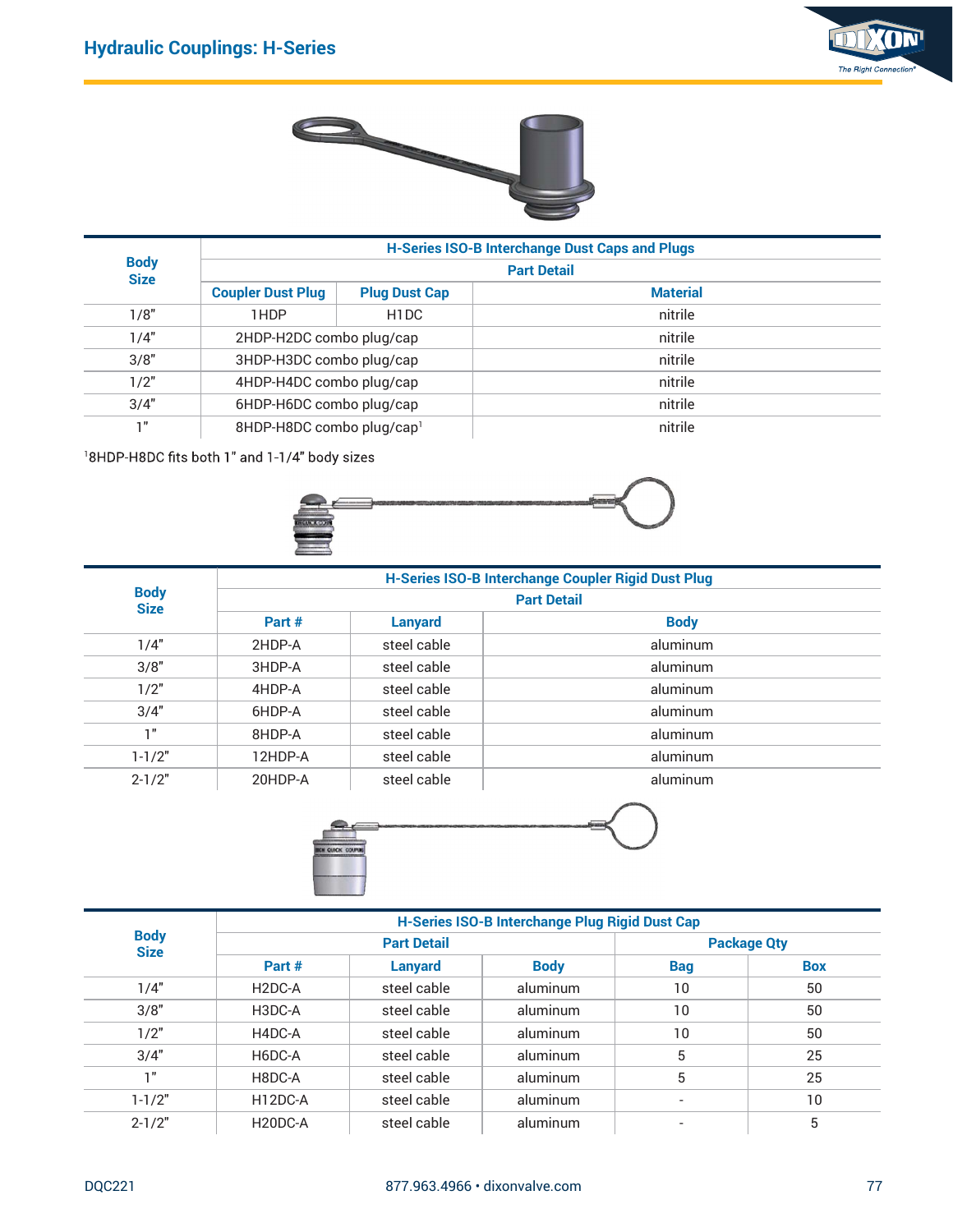



|                | <b>Hydraulic Couplings: H-Series</b>                      |                      |                                                       | The Right Connection |
|----------------|-----------------------------------------------------------|----------------------|-------------------------------------------------------|----------------------|
|                |                                                           |                      |                                                       |                      |
| <b>Body</b>    |                                                           |                      | <b>H-Series ISO-B Interchange Dust Caps and Plugs</b> |                      |
| <b>Size</b>    | <b>Coupler Dust Plug</b>                                  | <b>Plug Dust Cap</b> | <b>Part Detail</b><br><b>Material</b>                 |                      |
| 1/8"           | 1HDP                                                      | H <sub>1</sub> DC    | nitrile                                               |                      |
| 1/4"           | 2HDP-H2DC combo plug/cap                                  |                      | nitrile                                               |                      |
| 3/8"           | 3HDP-H3DC combo plug/cap                                  |                      | nitrile                                               |                      |
| 1/2"           | 4HDP-H4DC combo plug/cap                                  |                      | nitrile                                               |                      |
| 3/4"           | 6HDP-H6DC combo plug/cap                                  |                      | nitrile                                               |                      |
| $1"$           | 8HDP-H8DC combo plug/cap1                                 |                      | nitrile                                               |                      |
|                | <sup>1</sup> 8HDP-H8DC fits both 1" and 1-1/4" body sizes |                      |                                                       |                      |
| <b>Body</b>    |                                                           |                      | H-Series ISO-B Interchange Coupler Rigid Dust Plug    |                      |
| <b>Size</b>    |                                                           |                      | <b>Part Detail</b>                                    |                      |
|                | Part #                                                    | <b>Lanyard</b>       | <b>Body</b>                                           |                      |
| 1/4"           | 2HDP-A                                                    | steel cable          | aluminum                                              |                      |
| 3/8"           | 3HDP-A                                                    | steel cable          | aluminum                                              |                      |
| 1/2"           | 4HDP-A                                                    | steel cable          | aluminum                                              |                      |
| 3/4"           | 6HDP-A                                                    | steel cable          | aluminum                                              |                      |
| $1"$           | 8HDP-A                                                    | steel cable          | aluminum                                              |                      |
| $\overline{1}$ |                                                           |                      |                                                       |                      |



| ----<br><b>Size</b> |                                                           |                      | <b>Part Detail</b>                                 |                    |                    |  |  |  |
|---------------------|-----------------------------------------------------------|----------------------|----------------------------------------------------|--------------------|--------------------|--|--|--|
|                     | <b>Coupler Dust Plug</b>                                  | <b>Plug Dust Cap</b> |                                                    | <b>Material</b>    |                    |  |  |  |
| 1/8"                | 1HDP                                                      | H1DC                 |                                                    | nitrile            |                    |  |  |  |
| 1/4"                | 2HDP-H2DC combo plug/cap                                  |                      |                                                    | nitrile            |                    |  |  |  |
| 3/8"                | 3HDP-H3DC combo plug/cap                                  |                      |                                                    | nitrile            |                    |  |  |  |
| 1/2"                | 4HDP-H4DC combo plug/cap                                  |                      |                                                    | nitrile            |                    |  |  |  |
| 3/4"                | 6HDP-H6DC combo plug/cap                                  |                      |                                                    | nitrile            |                    |  |  |  |
| 1"                  | 8HDP-H8DC combo plug/cap1                                 |                      |                                                    | nitrile            |                    |  |  |  |
|                     | <sup>1</sup> 8HDP-H8DC fits both 1" and 1-1/4" body sizes |                      |                                                    |                    |                    |  |  |  |
| <b>Body</b>         |                                                           |                      | H-Series ISO-B Interchange Coupler Rigid Dust Plug |                    |                    |  |  |  |
| <b>Size</b>         |                                                           |                      |                                                    | <b>Part Detail</b> |                    |  |  |  |
|                     | Part #                                                    | <b>Lanyard</b>       |                                                    | <b>Body</b>        |                    |  |  |  |
| 1/4"                | 2HDP-A                                                    | steel cable          |                                                    | aluminum           |                    |  |  |  |
| 3/8"                | 3HDP-A                                                    | steel cable          |                                                    | aluminum           |                    |  |  |  |
| 1/2"                | 4HDP-A                                                    | steel cable          |                                                    | aluminum           |                    |  |  |  |
| 3/4"                | 6HDP-A                                                    | steel cable          |                                                    | aluminum           |                    |  |  |  |
| 1"                  | 8HDP-A                                                    | steel cable          |                                                    | aluminum           |                    |  |  |  |
| $1 - 1/2"$          | 12HDP-A                                                   | steel cable          |                                                    | aluminum           |                    |  |  |  |
| $2 - 1/2"$          | 20HDP-A                                                   | steel cable          |                                                    | aluminum           |                    |  |  |  |
|                     | <b>BEN QUICK COUPU</b>                                    |                      |                                                    |                    |                    |  |  |  |
| <b>Body</b>         |                                                           |                      | H-Series ISO-B Interchange Plug Rigid Dust Cap     |                    |                    |  |  |  |
| <b>Size</b>         |                                                           | <b>Part Detail</b>   |                                                    |                    | <b>Package Qty</b> |  |  |  |
|                     | Part #                                                    | <b>Lanyard</b>       | <b>Body</b>                                        | <b>Bag</b>         | <b>Box</b>         |  |  |  |
| 1/4"                | H <sub>2</sub> DC-A                                       | steel cable          | aluminum                                           | 10                 | 50                 |  |  |  |
| 3/8"                | H3DC-A                                                    | steel cable          | aluminum                                           | 10                 | 50                 |  |  |  |
| 1/2"                | H4DC-A                                                    | steel cable          | aluminum                                           | $10\,$             | 50                 |  |  |  |
| 3/4"                | H6DC-A                                                    | steel cable          | aluminum                                           | $5\phantom{.0}$    | 25                 |  |  |  |
| $1"$                | H8DC-A                                                    | steel cable          | aluminum                                           | $\sqrt{5}$         | $25\,$             |  |  |  |
| $-1$ $(0)$          | $\overline{\phantom{a}}$                                  |                      |                                                    |                    |                    |  |  |  |



| $\mathbf{v}$  | Part #              | <b>Lanyard</b>     |                                                | <b>Body</b>              |                |  |  |
|---------------|---------------------|--------------------|------------------------------------------------|--------------------------|----------------|--|--|
| 1/4"          | 2HDP-A              | steel cable        |                                                | aluminum                 |                |  |  |
| 3/8"          | 3HDP-A              | steel cable        |                                                | aluminum                 |                |  |  |
| 1/2"          | 4HDP-A              | steel cable        |                                                | aluminum                 |                |  |  |
| 3/4"          | 6HDP-A              | steel cable        |                                                | aluminum                 |                |  |  |
| 1"            | 8HDP-A              | steel cable        |                                                | aluminum                 |                |  |  |
| $1 - 1/2"$    | 12HDP-A             | steel cable        |                                                | aluminum                 |                |  |  |
| $2 - 1/2"$    | 20HDP-A             | steel cable        |                                                | aluminum                 |                |  |  |
|               | IN CUICK COUPUN     |                    | H-Series ISO-B Interchange Plug Rigid Dust Cap |                          |                |  |  |
| <b>Body</b>   |                     | <b>Part Detail</b> |                                                | <b>Package Qty</b>       |                |  |  |
| <b>Size</b>   | Part #              | <b>Lanyard</b>     | <b>Body</b>                                    | <b>Bag</b>               | <b>Box</b>     |  |  |
| 1/4"          | H <sub>2</sub> DC-A | steel cable        | aluminum                                       | 10                       | 50             |  |  |
| 3/8"          | H3DC-A              | steel cable        | aluminum                                       | 10                       | 50             |  |  |
| 1/2"          | H4DC-A              | steel cable        | aluminum                                       | 10                       | 50             |  |  |
| 3/4"          | H6DC-A              | steel cable        | aluminum                                       | $5\phantom{.0}$          | 25             |  |  |
| 1"            | H8DC-A              | steel cable        | aluminum                                       | $5\phantom{.0}$          | 25             |  |  |
| $1 - 1/2"$    | H12DC-A             | steel cable        | aluminum                                       | $\overline{\phantom{a}}$ | 10             |  |  |
| $2 - 1/2"$    | H20DC-A             | steel cable        | aluminum                                       | $\overline{\phantom{a}}$ | $\overline{5}$ |  |  |
| <b>DQC221</b> |                     |                    | 877.963.4966 · dixonvalve.com                  |                          | $77\,$         |  |  |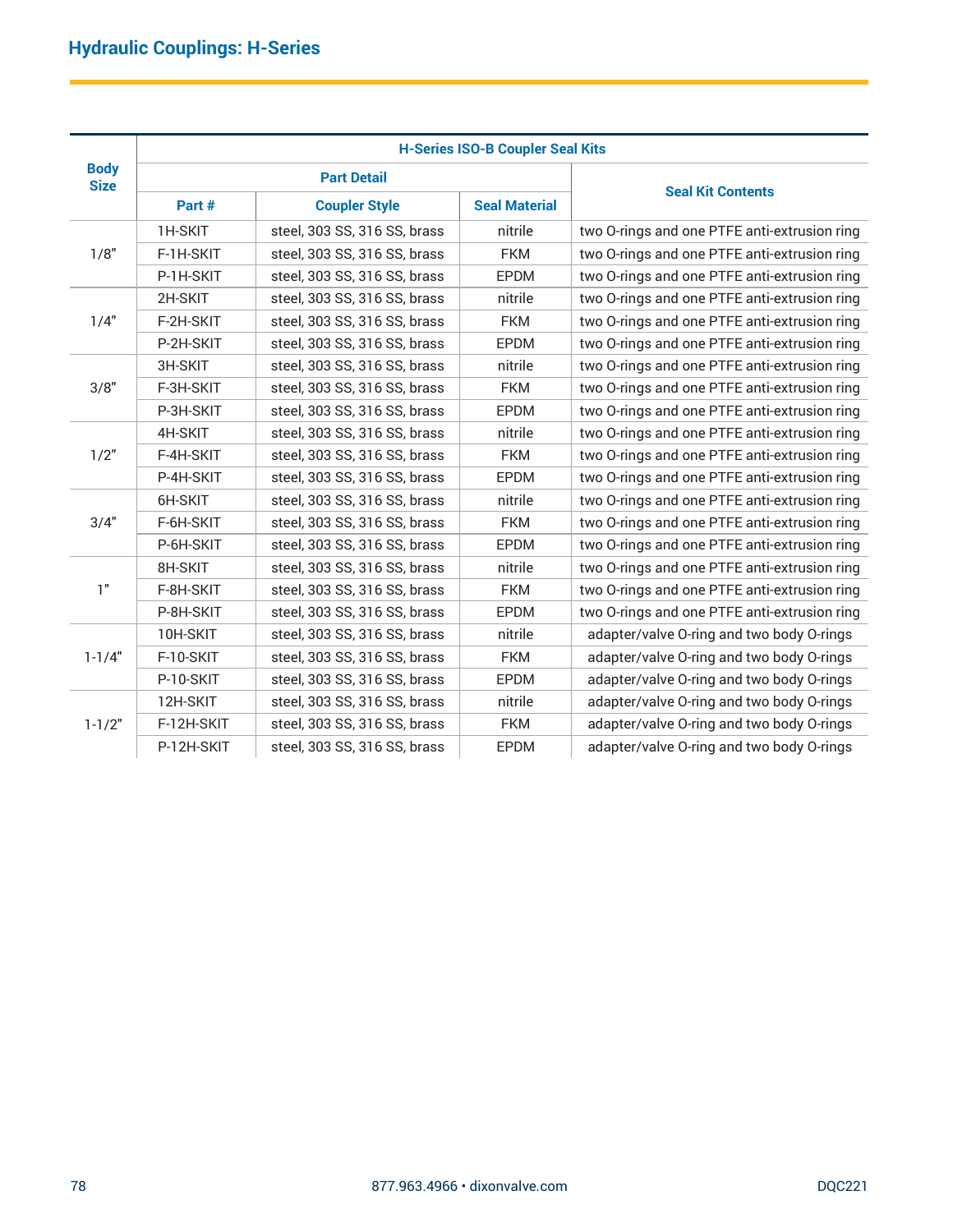|             | <b>Hydraulic Couplings: H-Series</b> |                              |                                         |                                              |
|-------------|--------------------------------------|------------------------------|-----------------------------------------|----------------------------------------------|
|             |                                      |                              |                                         |                                              |
|             |                                      |                              |                                         |                                              |
|             |                                      |                              | <b>H-Series ISO-B Coupler Seal Kits</b> |                                              |
| <b>Body</b> |                                      | <b>Part Detail</b>           |                                         |                                              |
| <b>Size</b> | Part #                               | <b>Coupler Style</b>         | <b>Seal Material</b>                    | <b>Seal Kit Contents</b>                     |
|             | 1H-SKIT                              | steel, 303 SS, 316 SS, brass | nitrile                                 | two O-rings and one PTFE anti-extrusion ring |
| 1/8"        | F-1H-SKIT                            | steel, 303 SS, 316 SS, brass | <b>FKM</b>                              | two O-rings and one PTFE anti-extrusion ring |
|             | P-1H-SKIT                            | steel, 303 SS, 316 SS, brass | EPDM                                    | two O-rings and one PTFE anti-extrusion ring |
|             | 2H-SKIT                              | steel, 303 SS, 316 SS, brass | nitrile                                 | two O-rings and one PTFE anti-extrusion ring |
| 1/4"        | F-2H-SKIT                            | steel, 303 SS, 316 SS, brass | <b>FKM</b>                              | two O-rings and one PTFE anti-extrusion ring |
|             | P-2H-SKIT                            | steel, 303 SS, 316 SS, brass | <b>EPDM</b>                             | two O-rings and one PTFE anti-extrusion ring |
|             | 3H-SKIT                              | steel, 303 SS, 316 SS, brass | nitrile                                 | two O-rings and one PTFE anti-extrusion ring |
| 3/8"        | F-3H-SKIT                            | steel, 303 SS, 316 SS, brass | <b>FKM</b>                              | two O-rings and one PTFE anti-extrusion ring |
|             | P-3H-SKIT                            | steel, 303 SS, 316 SS, brass | <b>EPDM</b>                             | two O-rings and one PTFE anti-extrusion ring |
|             | 4H-SKIT                              | steel, 303 SS, 316 SS, brass | nitrile                                 | two O-rings and one PTFE anti-extrusion ring |
| 1/2"        | F-4H-SKIT                            | steel, 303 SS, 316 SS, brass | <b>FKM</b>                              | two O-rings and one PTFE anti-extrusion ring |
|             | P-4H-SKIT                            | steel, 303 SS, 316 SS, brass | EPDM                                    | two O-rings and one PTFE anti-extrusion ring |
|             | 6H-SKIT                              | steel, 303 SS, 316 SS, brass | nitrile                                 | two O-rings and one PTFE anti-extrusion ring |
| 3/4"        | F-6H-SKIT                            | steel, 303 SS, 316 SS, brass | <b>FKM</b>                              | two O-rings and one PTFE anti-extrusion ring |
|             | P-6H-SKIT                            | steel, 303 SS, 316 SS, brass | EPDM                                    | two O-rings and one PTFE anti-extrusion ring |
|             | 8H-SKIT                              | steel, 303 SS, 316 SS, brass | nitrile                                 | two O-rings and one PTFE anti-extrusion ring |
| 1"          | F-8H-SKIT                            | steel, 303 SS, 316 SS, brass | <b>FKM</b>                              | two O-rings and one PTFE anti-extrusion ring |
|             | P-8H-SKIT                            | steel, 303 SS, 316 SS, brass | EPDM                                    | two O-rings and one PTFE anti-extrusion ring |
|             | 10H-SKIT                             | steel, 303 SS, 316 SS, brass | nitrile                                 | adapter/valve O-ring and two body O-rings    |
| $1 - 1/4"$  | F-10-SKIT                            | steel, 303 SS, 316 SS, brass | <b>FKM</b>                              | adapter/valve O-ring and two body O-rings    |
|             | P-10-SKIT                            | steel, 303 SS, 316 SS, brass | EPDM                                    | adapter/valve O-ring and two body O-rings    |
|             | 12H-SKIT                             | steel, 303 SS, 316 SS, brass | nitrile                                 | adapter/valve O-ring and two body O-rings    |
| $1 - 1/2"$  | F-12H-SKIT                           | steel, 303 SS, 316 SS, brass | <b>FKM</b>                              | adapter/valve O-ring and two body O-rings    |
|             | P-12H-SKIT                           | steel, 303 SS, 316 SS, brass | <b>EPDM</b>                             | adapter/valve O-ring and two body O-rings    |